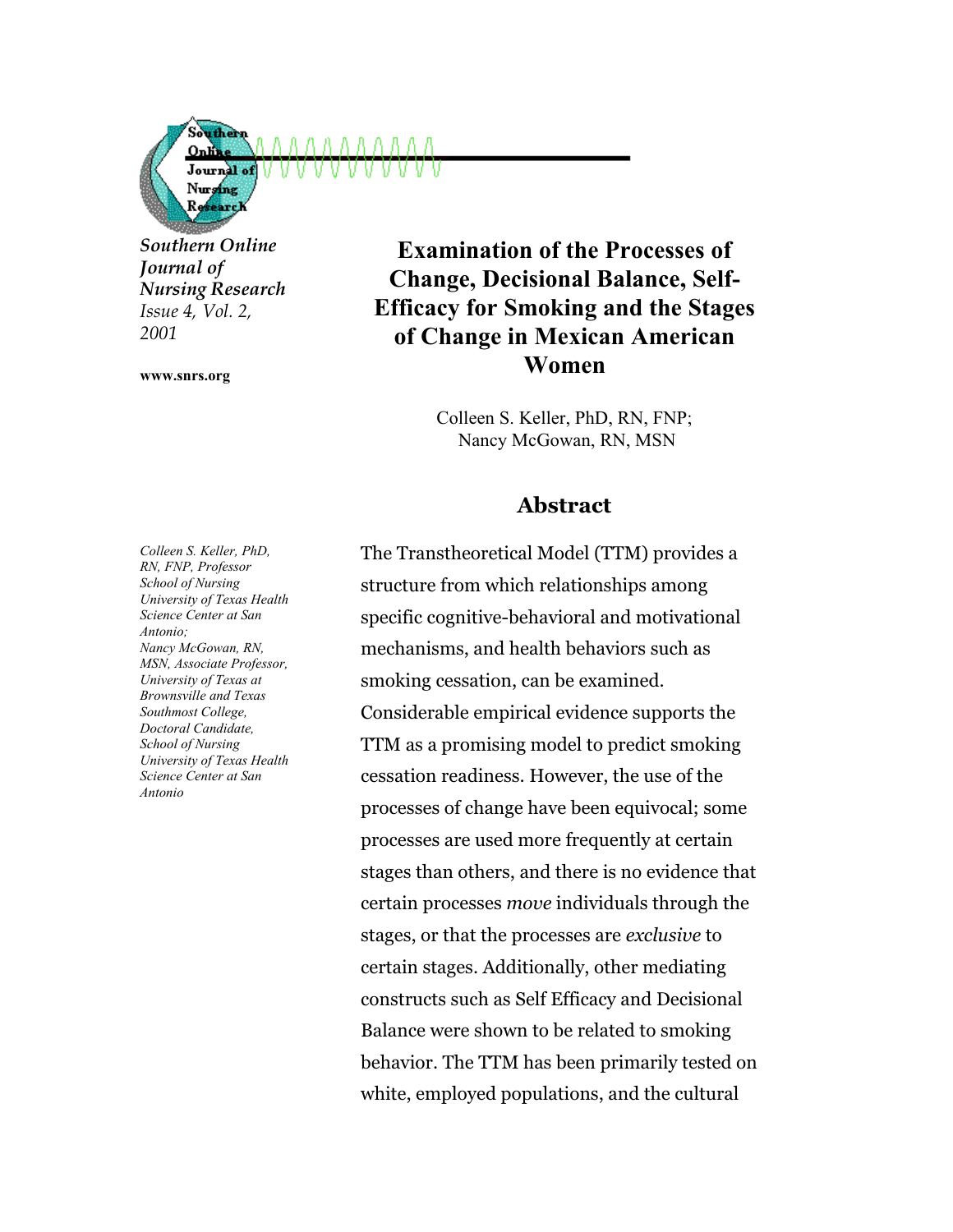Journal of Nursing *Southern Online Journal of Nursing Research Issue 4, Vol. 2,*

Souther OnK

**www.snrs.org**

*2001*

# **Examination of the Processes of Change, Decisional Balance, Self-Efficacy for Smoking and the Stages of Change in Mexican American Women**

Colleen S. Keller, PhD, RN, FNP; Nancy McGowan, RN, MSN

## **Abstract**

*Colleen S. Keller, PhD, RN, FNP, Professor School of Nursing University of Texas Health Science Center at San Antonio; Nancy McGowan, RN, MSN, Associate Professor, University of Texas at Brownsville and Texas Southmost College, Doctoral Candidate, School of Nursing University of Texas Health Science Center at San Antonio*

The Transtheoretical Model (TTM) provides a structure from which relationships among specific cognitive-behavioral and motivational mechanisms, and health behaviors such as smoking cessation, can be examined. Considerable empirical evidence supports the TTM as a promising model to predict smoking cessation readiness. However, the use of the processes of change have been equivocal; some processes are used more frequently at certain stages than others, and there is no evidence that certain processes *move* individuals through the stages, or that the processes are *exclusive* to certain stages. Additionally, other mediating constructs such as Self Efficacy and Decisional Balance were shown to be related to smoking behavior. The TTM has been primarily tested on white, employed populations, and the cultural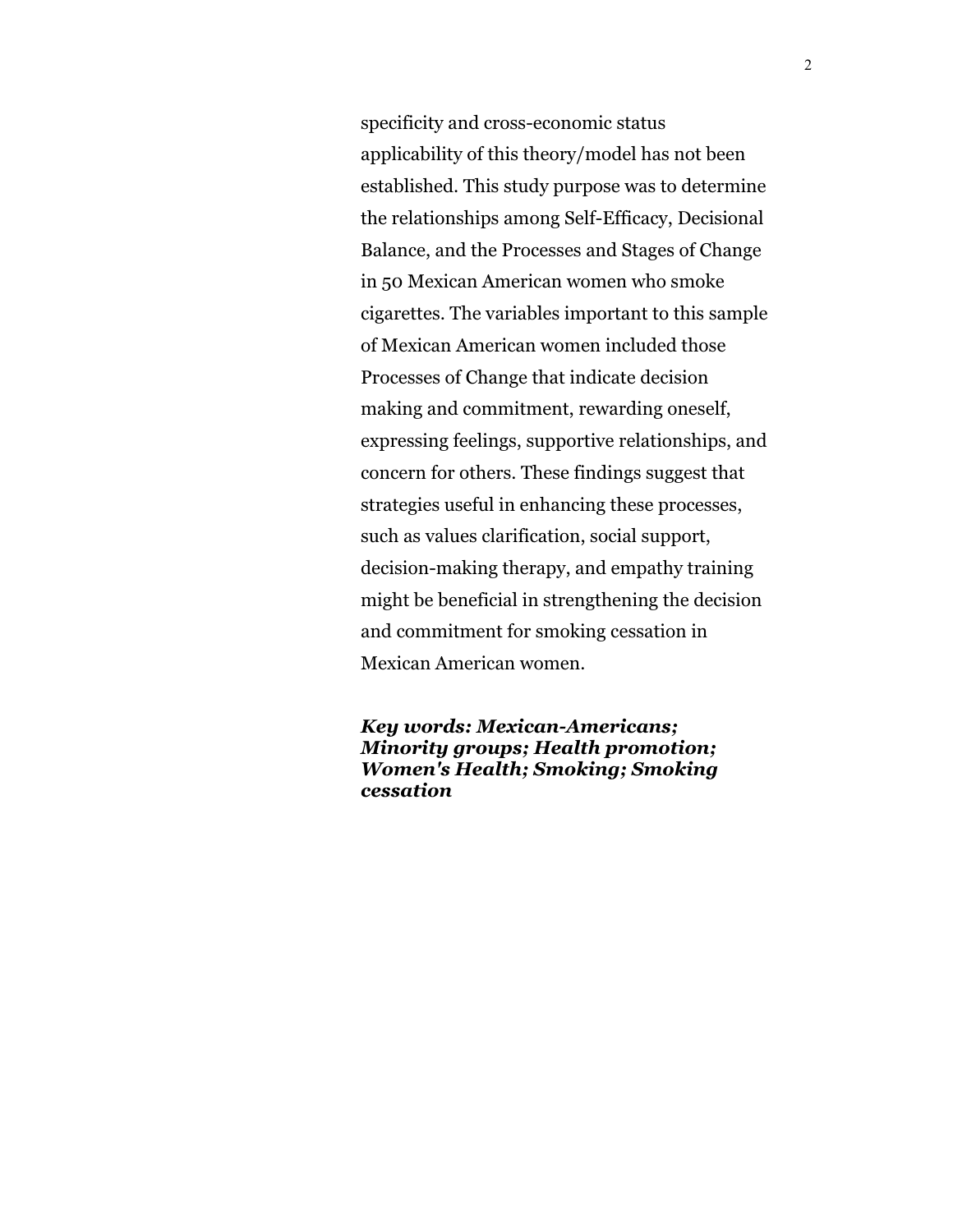specificity and cross-economic status applicability of this theory/model has not been established. This study purpose was to determine the relationships among Self-Efficacy, Decisional Balance, and the Processes and Stages of Change in 50 Mexican American women who smoke cigarettes. The variables important to this sample of Mexican American women included those Processes of Change that indicate decision making and commitment, rewarding oneself, expressing feelings, supportive relationships, and concern for others. These findings suggest that strategies useful in enhancing these processes, such as values clarification, social support, decision-making therapy, and empathy training might be beneficial in strengthening the decision and commitment for smoking cessation in Mexican American women.

*Key words: Mexican-Americans; Minority groups; Health promotion; Women's Health; Smoking; Smoking cessation*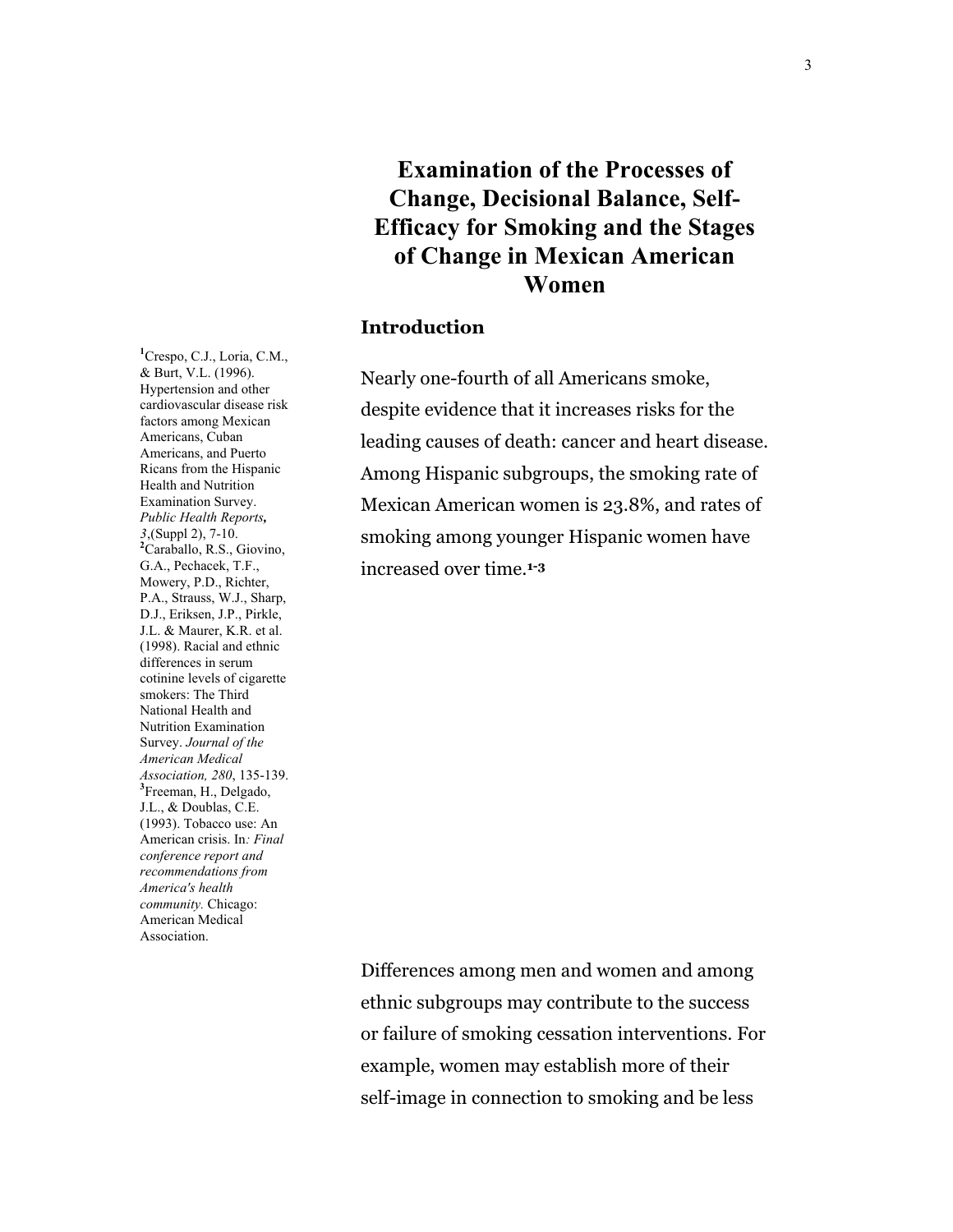# **Examination of the Processes of Change, Decisional Balance, Self-Efficacy for Smoking and the Stages of Change in Mexican American Women**

#### **Introduction**

Nearly one-fourth of all Americans smoke, despite evidence that it increases risks for the leading causes of death: cancer and heart disease. Among Hispanic subgroups, the smoking rate of Mexican American women is 23.8%, and rates of smoking among younger Hispanic women have increased over time.**1-3**

**1** Crespo, C.J., Loria, C.M., & Burt, V.L. (1996). Hypertension and other cardiovascular disease risk factors among Mexican Americans, Cuban Americans, and Puerto Ricans from the Hispanic Health and Nutrition Examination Survey. *Public Health Reports, 3*,(Suppl 2), 7-10. **2** Caraballo, R.S., Giovino, G.A., Pechacek, T.F., Mowery, P.D., Richter, P.A., Strauss, W.J., Sharp, D.J., Eriksen, J.P., Pirkle, J.L. & Maurer, K.R. et al. (1998). Racial and ethnic differences in serum cotinine levels of cigarette smokers: The Third National Health and Nutrition Examination Survey. *Journal of the American Medical Association, 280*, 135-139. **<sup>3</sup>** Freeman, H., Delgado, J.L., & Doublas, C.E. (1993). Tobacco use: An American crisis. In*: Final conference report and recommendations from America's health community.* Chicago: American Medical Association.

> Differences among men and women and among ethnic subgroups may contribute to the success or failure of smoking cessation interventions. For example, women may establish more of their self-image in connection to smoking and be less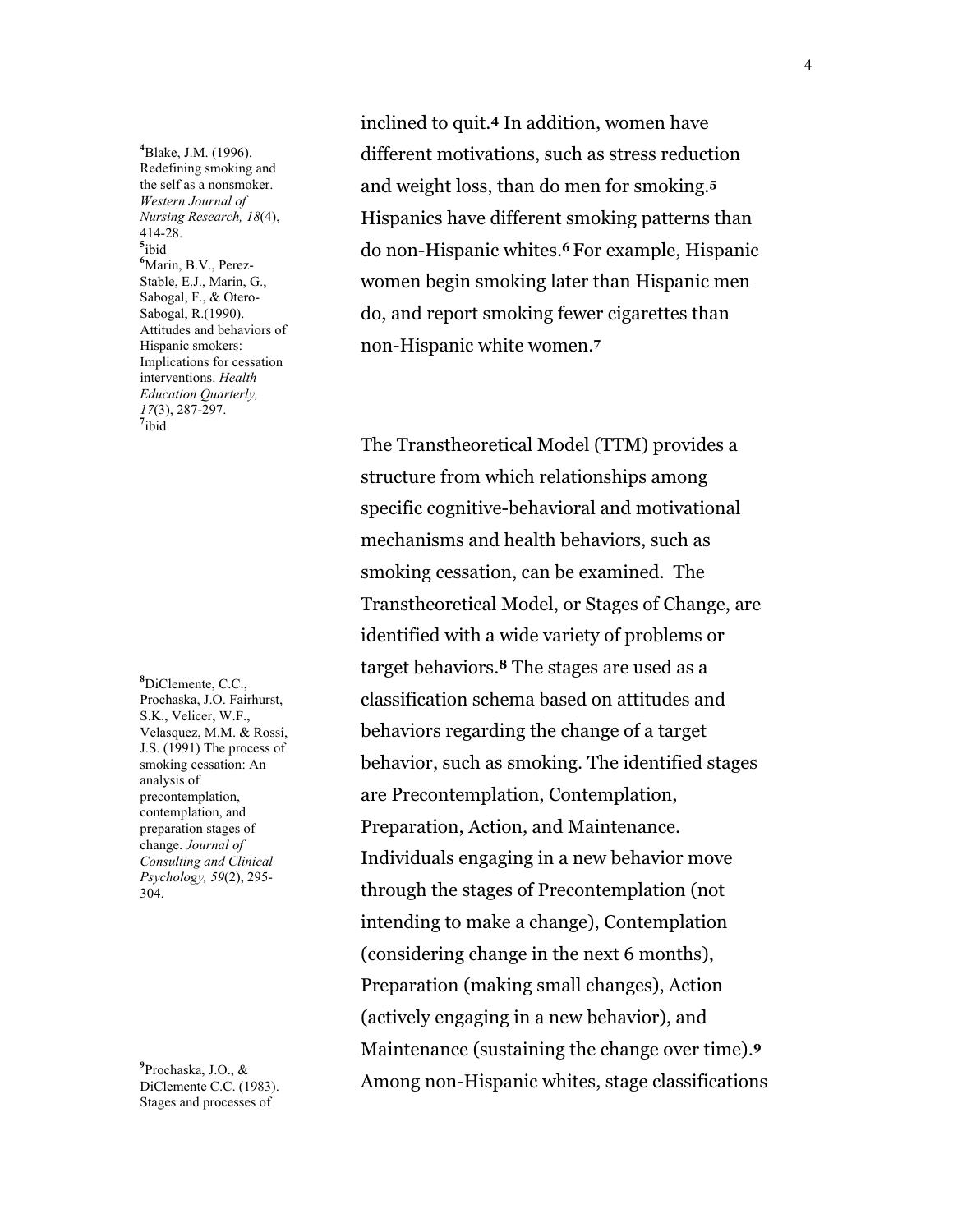**4** Blake, J.M. (1996). Redefining smoking and the self as a nonsmoker. *Western Journal of Nursing Research, 18*(4), 414-28. **5** ibid **6** Marin, B.V., Perez-Stable, E.J., Marin, G., Sabogal, F., & Otero-Sabogal, R.(1990). Attitudes and behaviors of Hispanic smokers: Implications for cessation interventions. *Health Education Quarterly, <sup>17</sup>*(3), 287-297. **<sup>7</sup>**  $7$ ibid

**8** DiClemente, C.C., Prochaska, J.O. Fairhurst, S.K., Velicer, W.F., Velasquez, M.M. & Rossi, J.S. (1991) The process of smoking cessation: An analysis of precontemplation, contemplation, and preparation stages of change. *Journal of Consulting and Clinical Psychology, 59*(2), 295- 304.

**9** Prochaska, J.O., & DiClemente C.C. (1983). Stages and processes of

inclined to quit.**4** In addition, women have different motivations, such as stress reduction and weight loss, than do men for smoking.**<sup>5</sup>** Hispanics have different smoking patterns than do non-Hispanic whites.**<sup>6</sup>** For example, Hispanic women begin smoking later than Hispanic men do, and report smoking fewer cigarettes than non-Hispanic white women.**<sup>7</sup>**

The Transtheoretical Model (TTM) provides a structure from which relationships among specific cognitive-behavioral and motivational mechanisms and health behaviors, such as smoking cessation, can be examined. The Transtheoretical Model, or Stages of Change, are identified with a wide variety of problems or target behaviors.**8** The stages are used as a classification schema based on attitudes and behaviors regarding the change of a target behavior, such as smoking. The identified stages are Precontemplation, Contemplation, Preparation, Action, and Maintenance. Individuals engaging in a new behavior move through the stages of Precontemplation (not intending to make a change), Contemplation (considering change in the next 6 months), Preparation (making small changes), Action (actively engaging in a new behavior), and Maintenance (sustaining the change over time).**<sup>9</sup>** Among non-Hispanic whites, stage classifications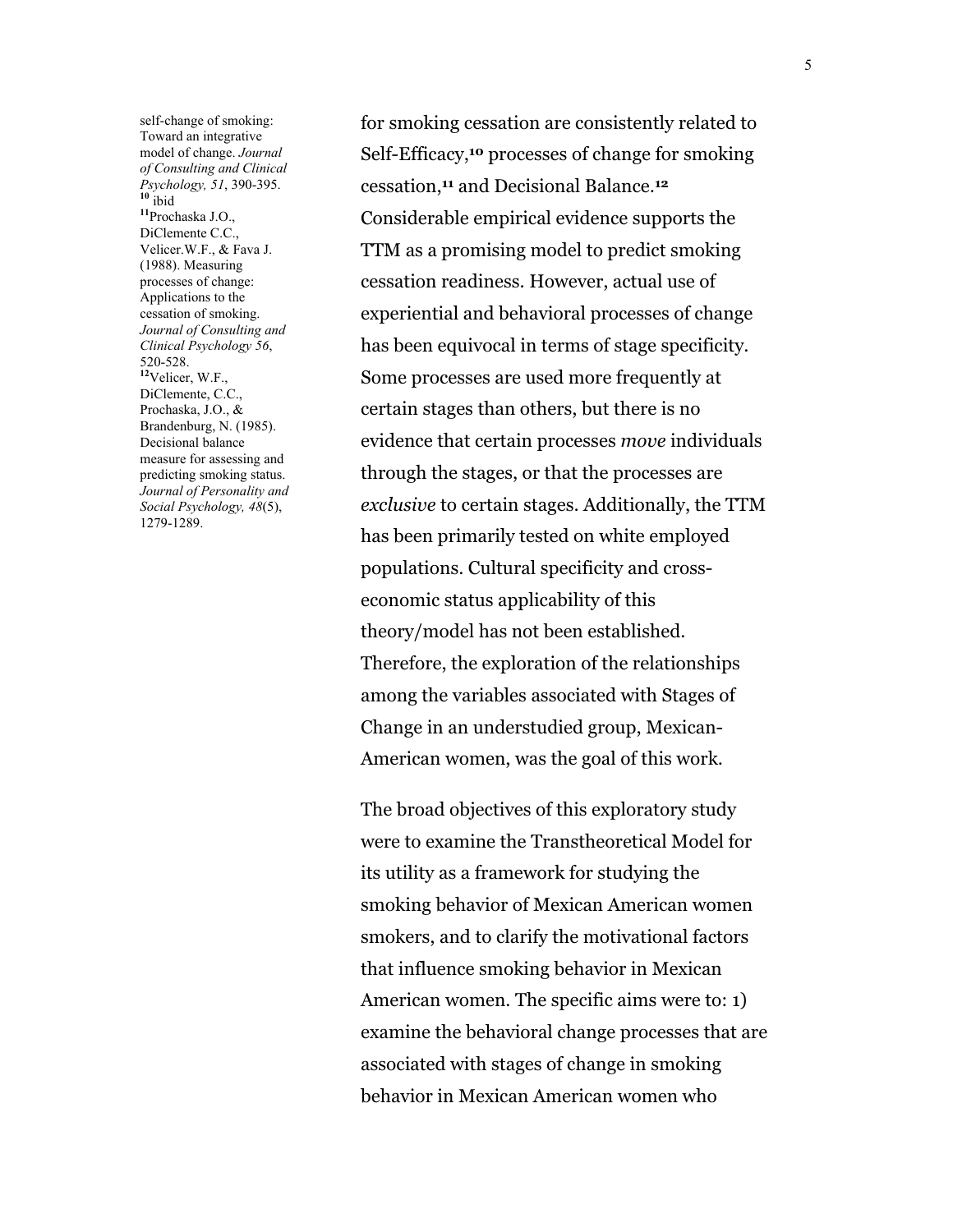self-change of smoking: Toward an integrative model of change. *Journal of Consulting and Clinical Psychology, 51*, 390-395. **<sup>10</sup>** ibid **<sup>11</sup>**Prochaska J.O., DiClemente C.C., Velicer.W.F., & Fava J. (1988). Measuring processes of change: Applications to the cessation of smoking. *Journal of Consulting and Clinical Psychology 56*, 520-528. **<sup>12</sup>**Velicer, W.F., DiClemente, C.C., Prochaska, J.O., & Brandenburg, N. (1985). Decisional balance measure for assessing and predicting smoking status. *Journal of Personality and Social Psychology, 48*(5), 1279-1289.

for smoking cessation are consistently related to Self-Efficacy,**10** processes of change for smoking cessation,**11** and Decisional Balance.**<sup>12</sup>** Considerable empirical evidence supports the TTM as a promising model to predict smoking cessation readiness. However, actual use of experiential and behavioral processes of change has been equivocal in terms of stage specificity. Some processes are used more frequently at certain stages than others, but there is no evidence that certain processes *move* individuals through the stages, or that the processes are *exclusive* to certain stages. Additionally, the TTM has been primarily tested on white employed populations. Cultural specificity and crosseconomic status applicability of this theory/model has not been established. Therefore, the exploration of the relationships among the variables associated with Stages of Change in an understudied group, Mexican-American women, was the goal of this work.

The broad objectives of this exploratory study were to examine the Transtheoretical Model for its utility as a framework for studying the smoking behavior of Mexican American women smokers, and to clarify the motivational factors that influence smoking behavior in Mexican American women. The specific aims were to: 1) examine the behavioral change processes that are associated with stages of change in smoking behavior in Mexican American women who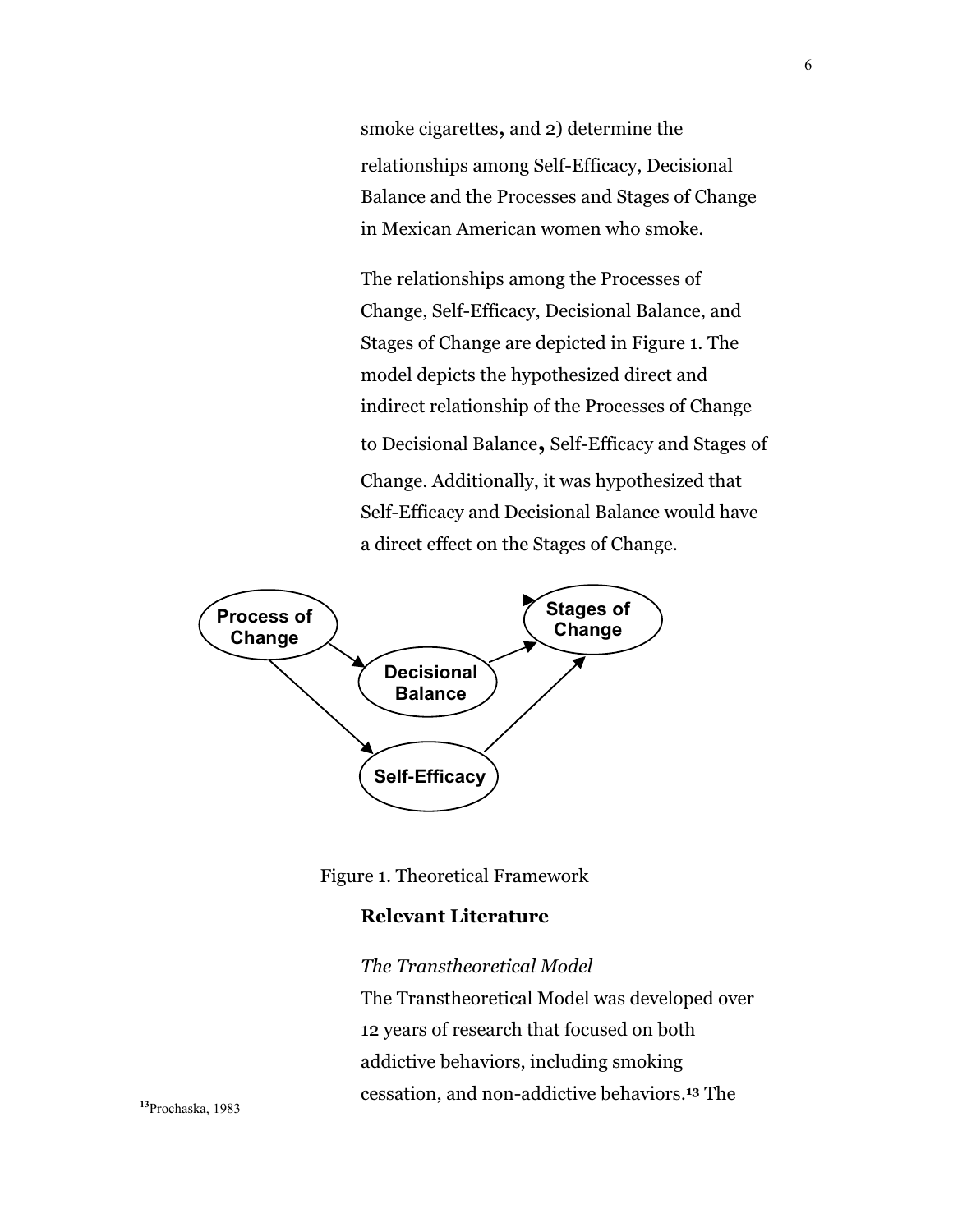smoke cigarettes, and 2) determine the relationships among Self-Efficacy, Decisional Balance and the Processes and Stages of Change in Mexican American women who smoke.

The relationships among the Processes of Change, Self-Efficacy, Decisional Balance, and Stages of Change are depicted in Figure 1. The model depicts the hypothesized direct and indirect relationship of the Processes of Change to Decisional Balance**,** Self-Efficacy and Stages of Change. Additionally, it was hypothesized that Self-Efficacy and Decisional Balance would have a direct effect on the Stages of Change.





### **Relevant Literature**

### *The Transtheoretical Model*

The Transtheoretical Model was developed over 12 years of research that focused on both addictive behaviors, including smoking cessation, and non-addictive behaviors.**13** The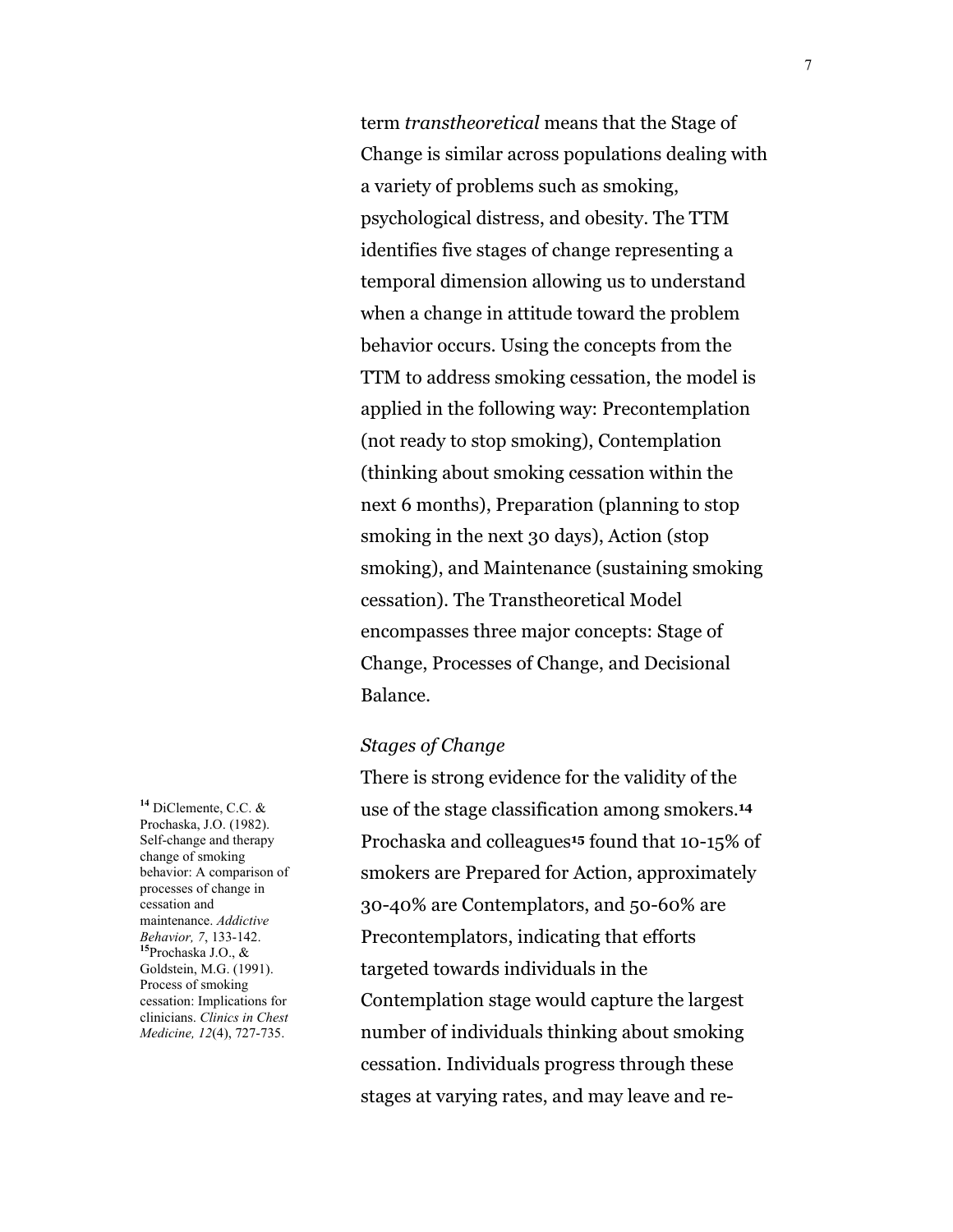term *transtheoretical* means that the Stage of Change is similar across populations dealing with a variety of problems such as smoking, psychological distress, and obesity. The TTM identifies five stages of change representing a temporal dimension allowing us to understand when a change in attitude toward the problem behavior occurs. Using the concepts from the TTM to address smoking cessation, the model is applied in the following way: Precontemplation (not ready to stop smoking), Contemplation (thinking about smoking cessation within the next 6 months), Preparation (planning to stop smoking in the next 30 days), Action (stop smoking), and Maintenance (sustaining smoking cessation). The Transtheoretical Model encompasses three major concepts: Stage of Change, Processes of Change, and Decisional Balance.

#### *Stages of Change*

There is strong evidence for the validity of the use of the stage classification among smokers.**<sup>14</sup>** Prochaska and colleagues**15** found that 10-15% of smokers are Prepared for Action, approximately 30-40% are Contemplators, and 50-60% are Precontemplators, indicating that efforts targeted towards individuals in the Contemplation stage would capture the largest number of individuals thinking about smoking cessation. Individuals progress through these stages at varying rates, and may leave and re-

**<sup>14</sup>** DiClemente, C.C. & Prochaska, J.O. (1982). Self-change and therapy change of smoking behavior: A comparison of processes of change in cessation and maintenance. *Addictive Behavior, <sup>7</sup>*, 133-142. **<sup>15</sup>**Prochaska J.O., & Goldstein, M.G. (1991). Process of smoking cessation: Implications for clinicians. *Clinics in Chest Medicine, 12*(4), 727-735.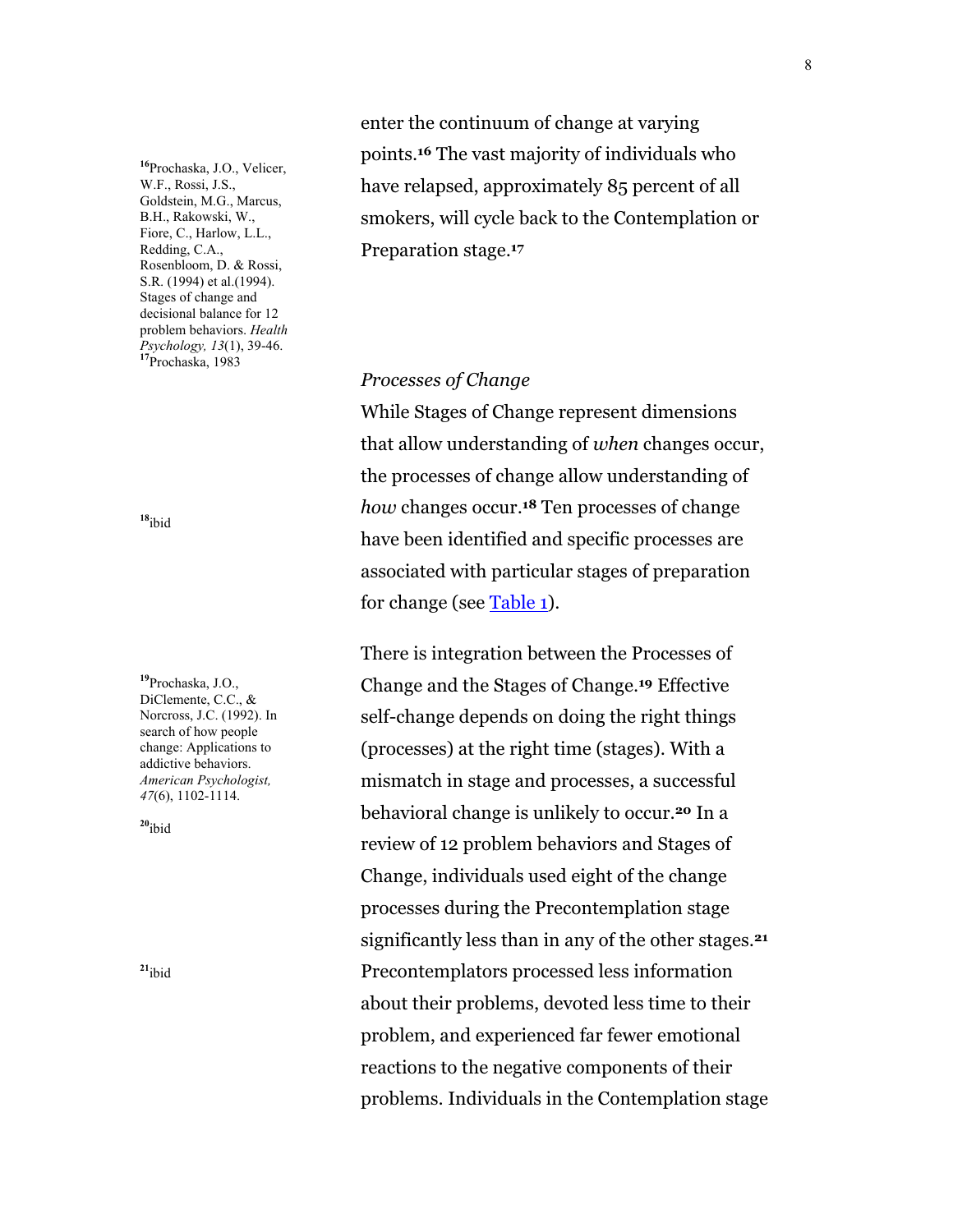<span id="page-7-0"></span>**<sup>16</sup>**Prochaska, J.O., Velicer, W.F., Rossi, J.S., Goldstein, M.G., Marcus, B.H., Rakowski, W., Fiore, C., Harlow, L.L., Redding, C.A., Rosenbloom, D. & Rossi, S.R. (1994) et al.(1994). Stages of change and decisional balance for 12 problem behaviors. *Health Psychology, 13*(1), 39-46. **<sup>17</sup>**Prochaska, 1983

**<sup>18</sup>**ibid

**<sup>19</sup>**Prochaska, J.O., DiClemente, C.C., & Norcross, J.C. (1992). In search of how people change: Applications to addictive behaviors. *American Psychologist, 47*(6), 1102-1114.

**<sup>20</sup>**ibid

**<sup>21</sup>**ibid

enter the continuum of change at varying points.**16** The vast majority of individuals who have relapsed, approximately 85 percent of all smokers, will cycle back to the Contemplation or Preparation stage.**<sup>17</sup>**

*Processes of Change*

While Stages of Change represent dimensions that allow understanding of *when* changes occur, the processes of change allow understanding of *how* changes occur.**18** Ten processes of change have been identified and specific processes are associated with particular stages of preparation for change (see [Table 1\)](#page-27-0).

There is integration between the Processes of Change and the Stages of Change.**19** Effective self-change depends on doing the right things (processes) at the right time (stages). With a mismatch in stage and processes, a successful behavioral change is unlikely to occur.**20** In a review of 12 problem behaviors and Stages of Change, individuals used eight of the change processes during the Precontemplation stage significantly less than in any of the other stages.**<sup>21</sup>** Precontemplators processed less information about their problems, devoted less time to their problem, and experienced far fewer emotional reactions to the negative components of their problems. Individuals in the Contemplation stage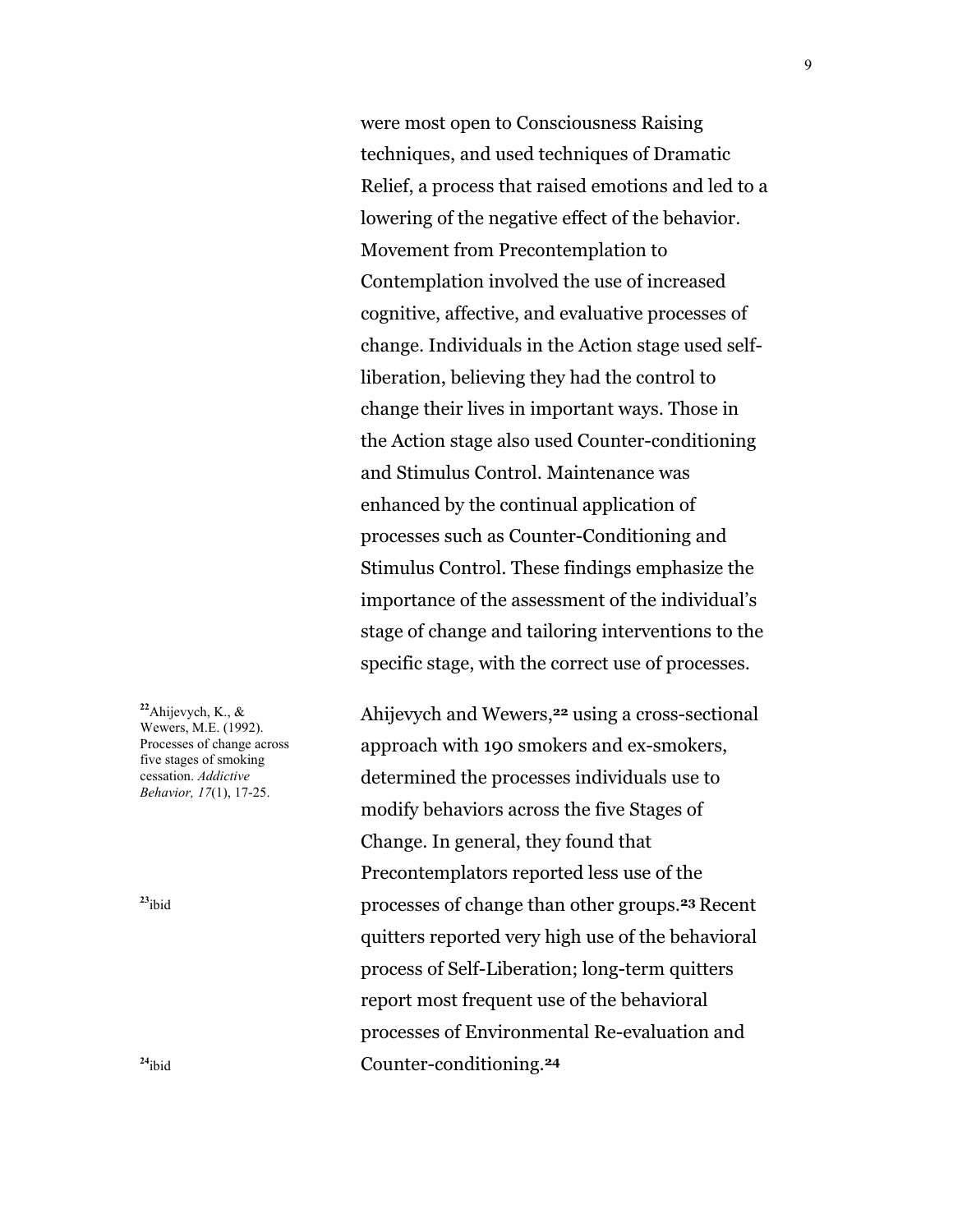were most open to Consciousness Raising techniques, and used techniques of Dramatic Relief, a process that raised emotions and led to a lowering of the negative effect of the behavior. Movement from Precontemplation to Contemplation involved the use of increased cognitive, affective, and evaluative processes of change. Individuals in the Action stage used selfliberation, believing they had the control to change their lives in important ways. Those in the Action stage also used Counter-conditioning and Stimulus Control. Maintenance was enhanced by the continual application of processes such as Counter-Conditioning and Stimulus Control. These findings emphasize the importance of the assessment of the individual's stage of change and tailoring interventions to the specific stage, with the correct use of processes.

**<sup>22</sup>**Ahijevych, K., & Wewers, M.E. (1992). Processes of change across five stages of smoking cessation. *Addictive Behavior, 17*(1), 17-25.

**<sup>23</sup>**ibid

approach with 190 smokers and ex-smokers, determined the processes individuals use to modify behaviors across the five Stages of Change. In general, they found that Precontemplators reported less use of the processes of change than other groups.**23** Recent quitters reported very high use of the behavioral process of Self-Liberation; long-term quitters report most frequent use of the behavioral processes of Environmental Re-evaluation and Counter-conditioning.**24**

Ahijevych and Wewers,**22** using a cross-sectional

**<sup>24</sup>**ibid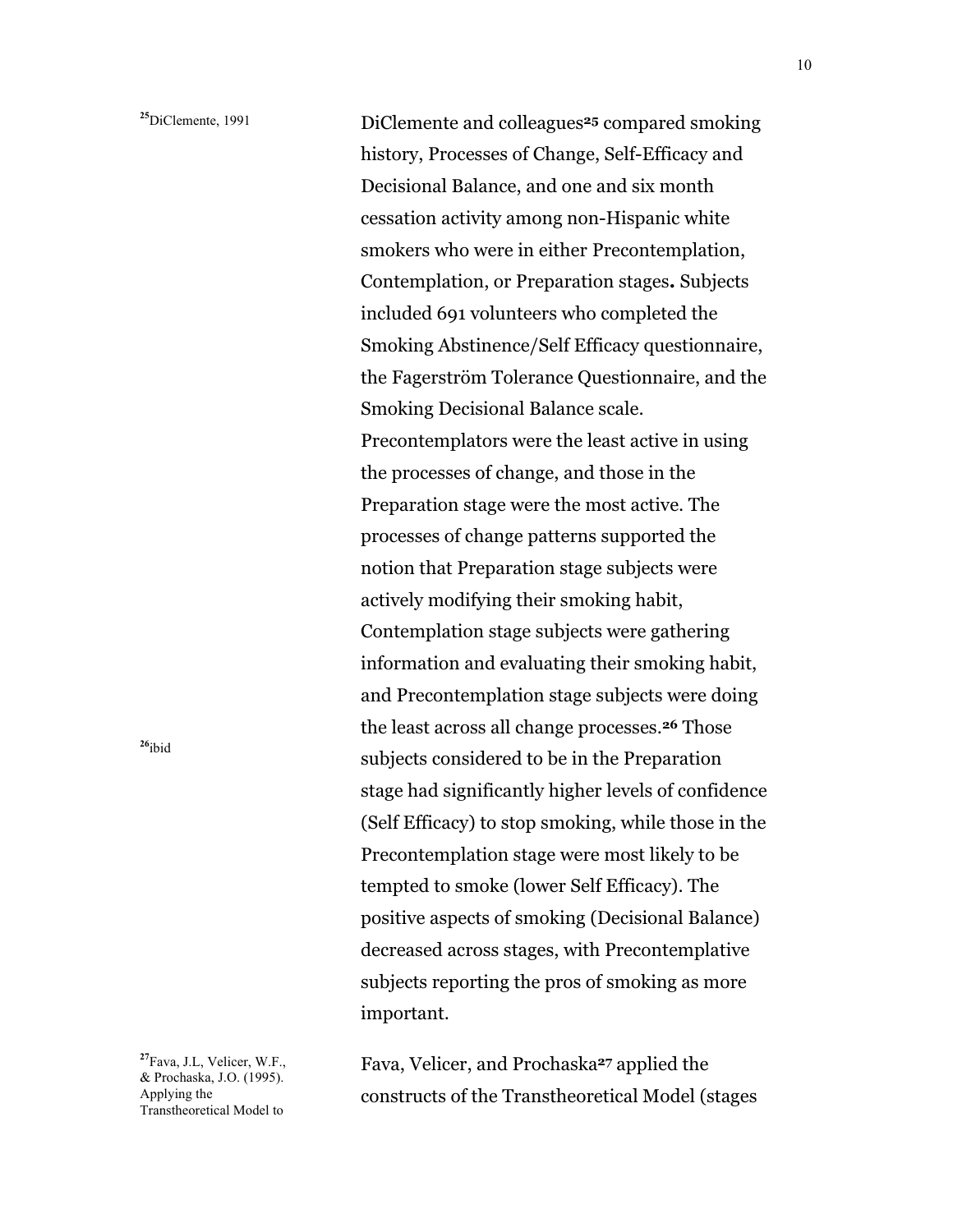DiClemente and colleagues**25** compared smoking history, Processes of Change, Self-Efficacy and Decisional Balance, and one and six month cessation activity among non-Hispanic white smokers who were in either Precontemplation, Contemplation, or Preparation stages**.** Subjects included 691 volunteers who completed the Smoking Abstinence/Self Efficacy questionnaire, the Fagerström Tolerance Questionnaire, and the Smoking Decisional Balance scale. Precontemplators were the least active in using the processes of change, and those in the Preparation stage were the most active. The processes of change patterns supported the notion that Preparation stage subjects were actively modifying their smoking habit, Contemplation stage subjects were gathering information and evaluating their smoking habit, and Precontemplation stage subjects were doing the least across all change processes.**26** Those subjects considered to be in the Preparation stage had significantly higher levels of confidence (Self Efficacy) to stop smoking, while those in the Precontemplation stage were most likely to be tempted to smoke (lower Self Efficacy). The positive aspects of smoking (Decisional Balance) decreased across stages, with Precontemplative subjects reporting the pros of smoking as more important.

**<sup>27</sup>**Fava, J.L, Velicer, W.F., & Prochaska, J.O. (1995). Applying the Transtheoretical Model to

Fava, Velicer, and Prochaska**27** applied the constructs of the Transtheoretical Model (stages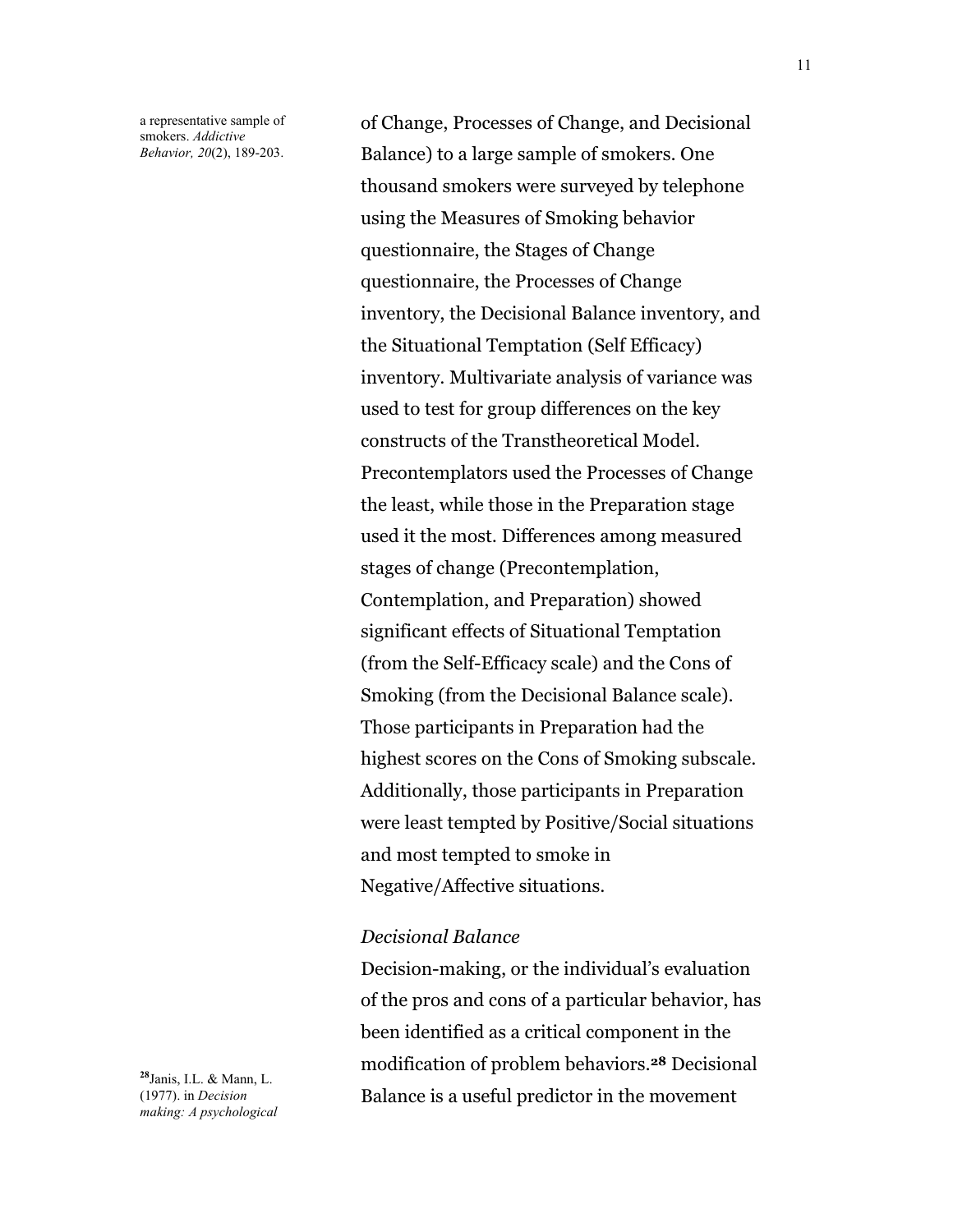a representative sample of smokers. *Addictive Behavior, 20*(2), 189-203.

of Change, Processes of Change, and Decisional Balance) to a large sample of smokers. One thousand smokers were surveyed by telephone using the Measures of Smoking behavior questionnaire, the Stages of Change questionnaire, the Processes of Change inventory, the Decisional Balance inventory, and the Situational Temptation (Self Efficacy) inventory. Multivariate analysis of variance was used to test for group differences on the key constructs of the Transtheoretical Model. Precontemplators used the Processes of Change the least, while those in the Preparation stage used it the most. Differences among measured stages of change (Precontemplation, Contemplation, and Preparation) showed significant effects of Situational Temptation (from the Self-Efficacy scale) and the Cons of Smoking (from the Decisional Balance scale). Those participants in Preparation had the highest scores on the Cons of Smoking subscale. Additionally, those participants in Preparation were least tempted by Positive/Social situations and most tempted to smoke in Negative/Affective situations.

#### *Decisional Balance*

Decision-making, or the individual's evaluation of the pros and cons of a particular behavior, has been identified as a critical component in the modification of problem behaviors.**28** Decisional Balance is a useful predictor in the movement

**<sup>28</sup>**Janis, I.L. & Mann, L. (1977). in *Decision making: A psychological*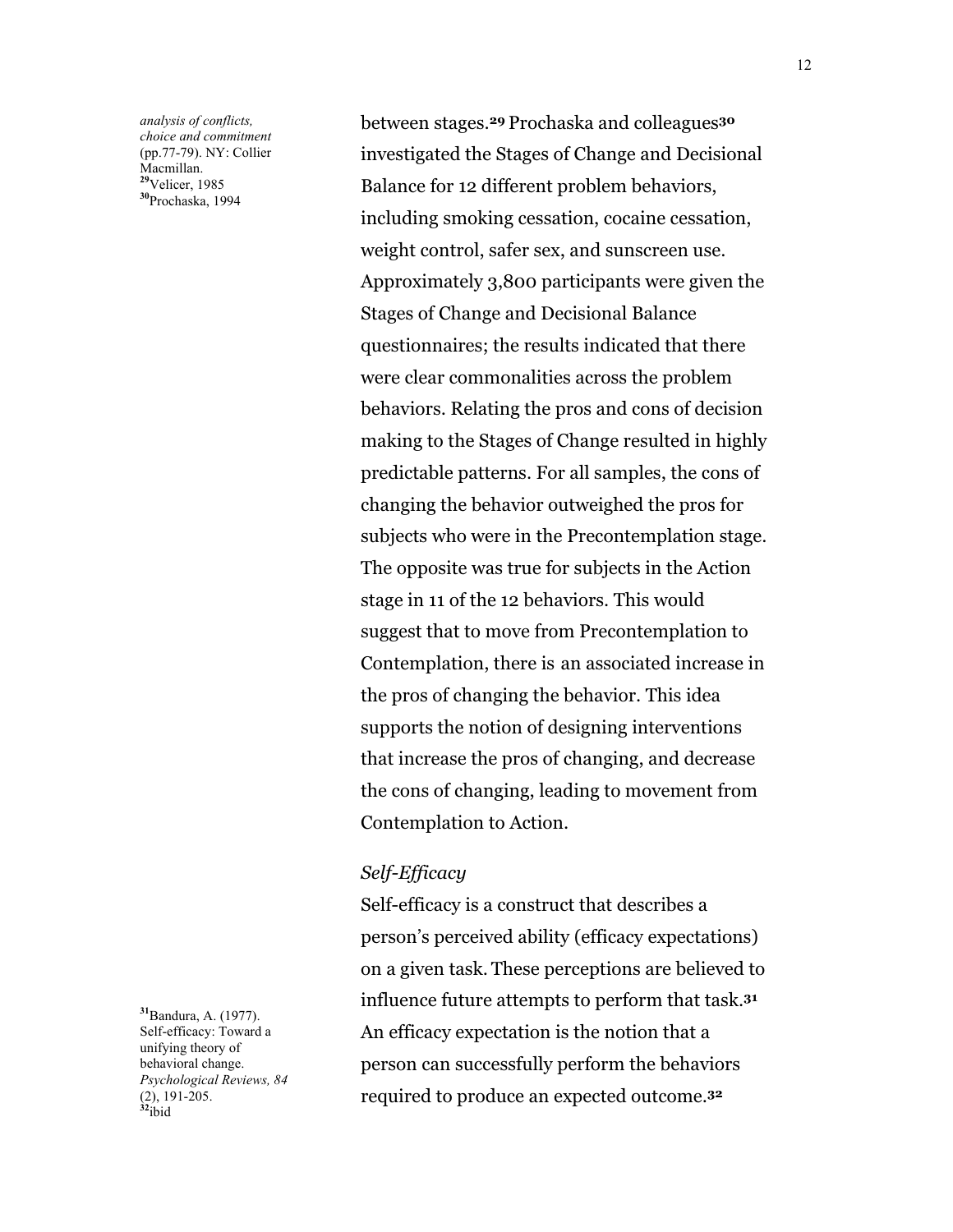*analysis of conflicts, choice and commitment* (pp.77-79). NY: Collier Macmillan. **<sup>29</sup>**Velicer, 1985 **<sup>30</sup>**Prochaska, 1994

**<sup>31</sup>**Bandura, A. (1977). Self-efficacy: Toward a unifying theory of behavioral change. *Psychological Reviews, 84* (2), 191-205. **<sup>32</sup>**ibid

between stages.**29** Prochaska and colleagues**<sup>30</sup>** investigated the Stages of Change and Decisional Balance for 12 different problem behaviors, including smoking cessation, cocaine cessation, weight control, safer sex, and sunscreen use. Approximately 3,800 participants were given the Stages of Change and Decisional Balance questionnaires; the results indicated that there were clear commonalities across the problem behaviors. Relating the pros and cons of decision making to the Stages of Change resulted in highly predictable patterns. For all samples, the cons of changing the behavior outweighed the pros for subjects who were in the Precontemplation stage. The opposite was true for subjects in the Action stage in 11 of the 12 behaviors. This would suggest that to move from Precontemplation to Contemplation, there is an associated increase in the pros of changing the behavior. This idea supports the notion of designing interventions that increase the pros of changing, and decrease the cons of changing, leading to movement from Contemplation to Action.

#### *Self-Efficacy*

Self-efficacy is a construct that describes a person's perceived ability (efficacy expectations) on a given task. These perceptions are believed to influence future attempts to perform that task.**<sup>31</sup>** An efficacy expectation is the notion that a person can successfully perform the behaviors required to produce an expected outcome.**32**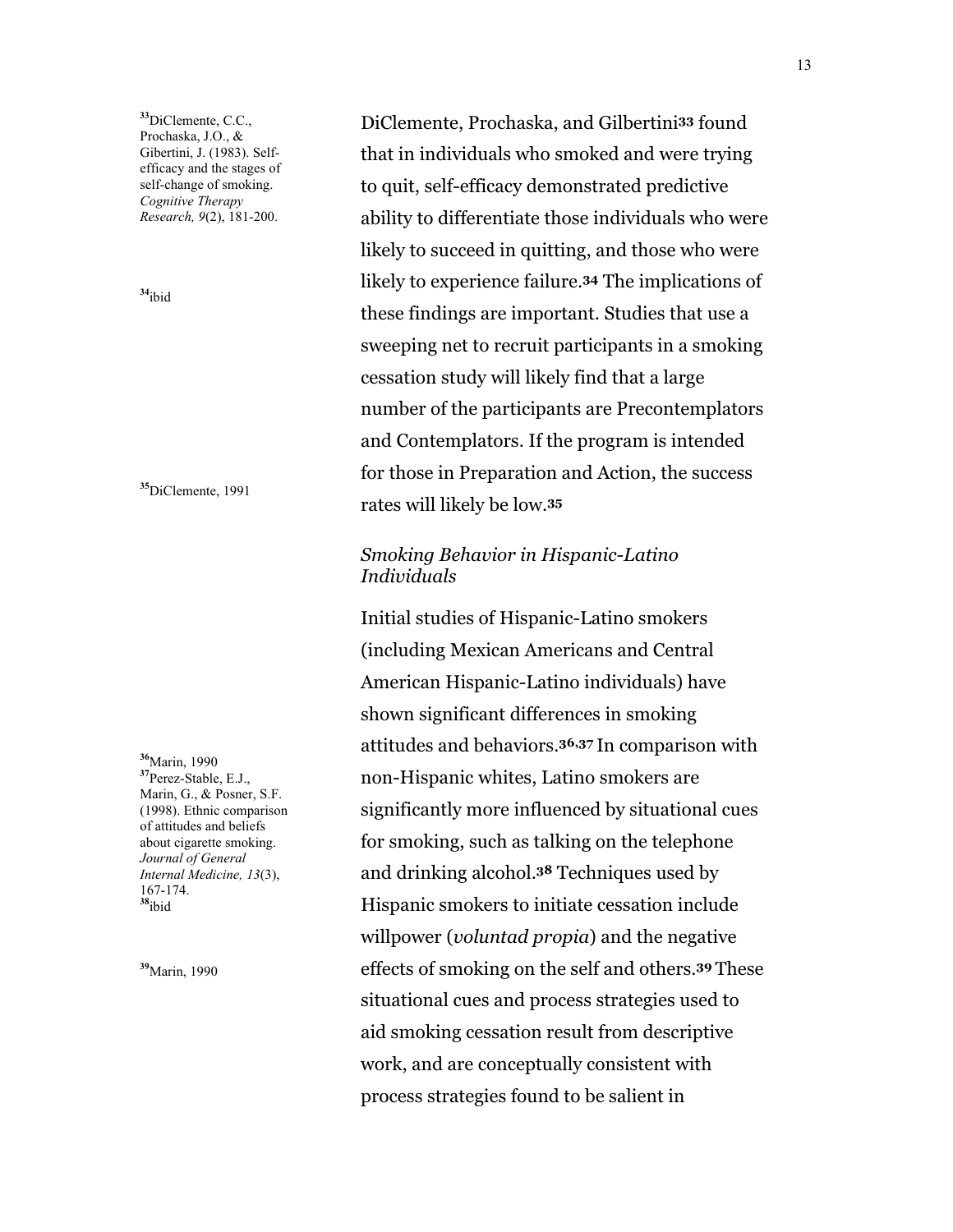**<sup>33</sup>**DiClemente, C.C., Prochaska, J.O., & Gibertini, J. (1983). Selfefficacy and the stages of self-change of smoking. *Cognitive Therapy Research, 9*(2), 181-200.

**<sup>34</sup>**ibid

**<sup>35</sup>**DiClemente, 1991

**<sup>36</sup>**Marin, 1990 **<sup>37</sup>**Perez-Stable, E.J., Marin, G., & Posner, S.F. (1998). Ethnic comparison of attitudes and beliefs about cigarette smoking. *Journal of General Internal Medicine, 13*(3), 167-174. **<sup>38</sup>**ibid

**<sup>39</sup>**Marin, 1990

DiClemente, Prochaska, and Gilbertini**33** found that in individuals who smoked and were trying to quit, self-efficacy demonstrated predictive ability to differentiate those individuals who were likely to succeed in quitting, and those who were likely to experience failure.**34** The implications of these findings are important. Studies that use a sweeping net to recruit participants in a smoking cessation study will likely find that a large number of the participants are Precontemplators and Contemplators. If the program is intended for those in Preparation and Action, the success rates will likely be low.**<sup>35</sup>**

### *Smoking Behavior in Hispanic-Latino Individuals*

Initial studies of Hispanic-Latino smokers (including Mexican Americans and Central American Hispanic-Latino individuals) have shown significant differences in smoking attitudes and behaviors.**36,37** In comparison with non-Hispanic whites, Latino smokers are significantly more influenced by situational cues for smoking, such as talking on the telephone and drinking alcohol.**38** Techniques used by Hispanic smokers to initiate cessation include willpower (*voluntad propia*) and the negative effects of smoking on the self and others.**39** These situational cues and process strategies used to aid smoking cessation result from descriptive work, and are conceptually consistent with process strategies found to be salient in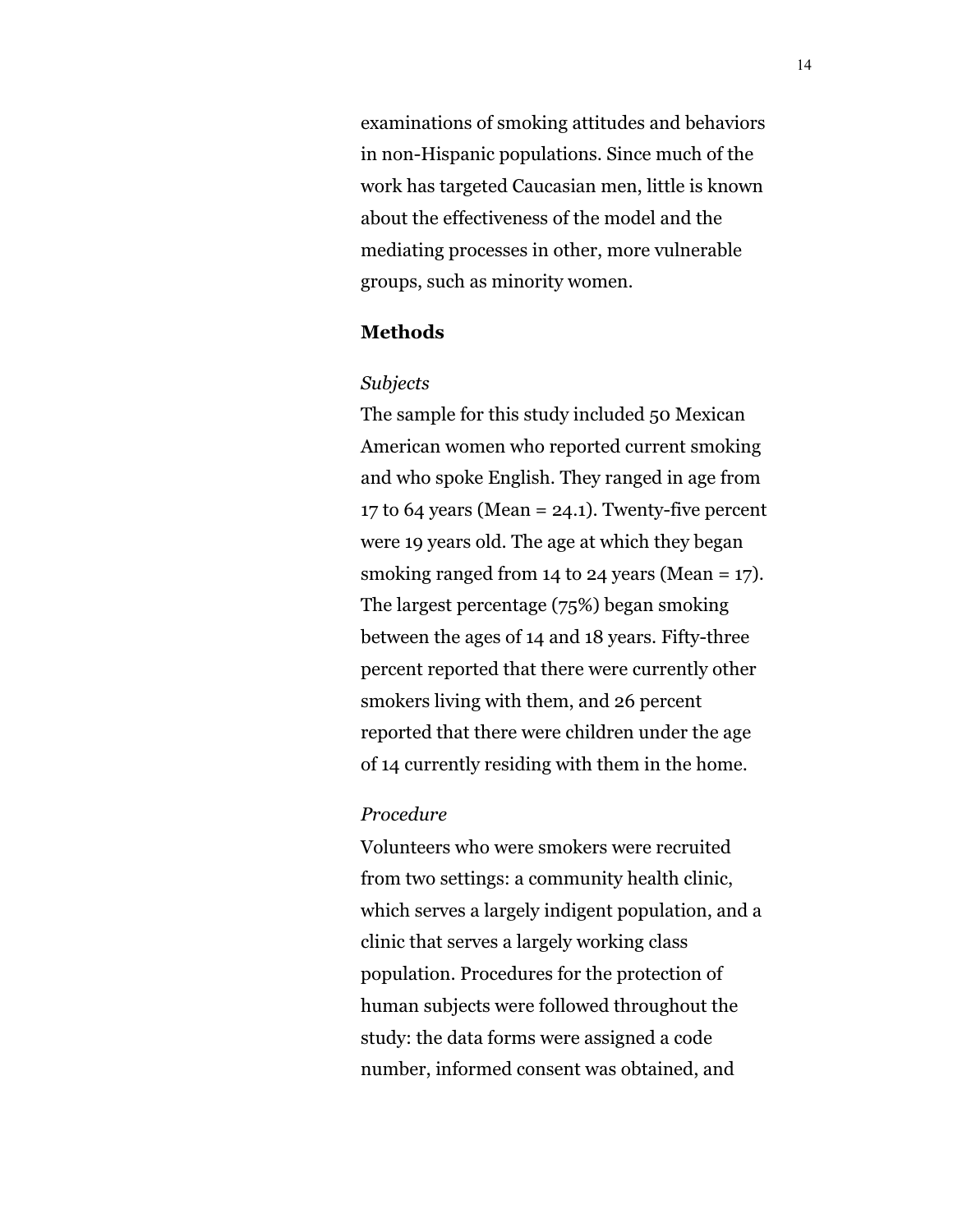examinations of smoking attitudes and behaviors in non-Hispanic populations. Since much of the work has targeted Caucasian men, little is known about the effectiveness of the model and the mediating processes in other, more vulnerable groups, such as minority women.

### **Methods**

#### *Subjects*

The sample for this study included 50 Mexican American women who reported current smoking and who spoke English. They ranged in age from 17 to 64 years (Mean =  $24.1$ ). Twenty-five percent were 19 years old. The age at which they began smoking ranged from 14 to 24 years (Mean =  $17$ ). The largest percentage (75%) began smoking between the ages of 14 and 18 years. Fifty-three percent reported that there were currently other smokers living with them, and 26 percent reported that there were children under the age of 14 currently residing with them in the home.

#### *Procedure*

Volunteers who were smokers were recruited from two settings: a community health clinic, which serves a largely indigent population, and a clinic that serves a largely working class population. Procedures for the protection of human subjects were followed throughout the study: the data forms were assigned a code number, informed consent was obtained, and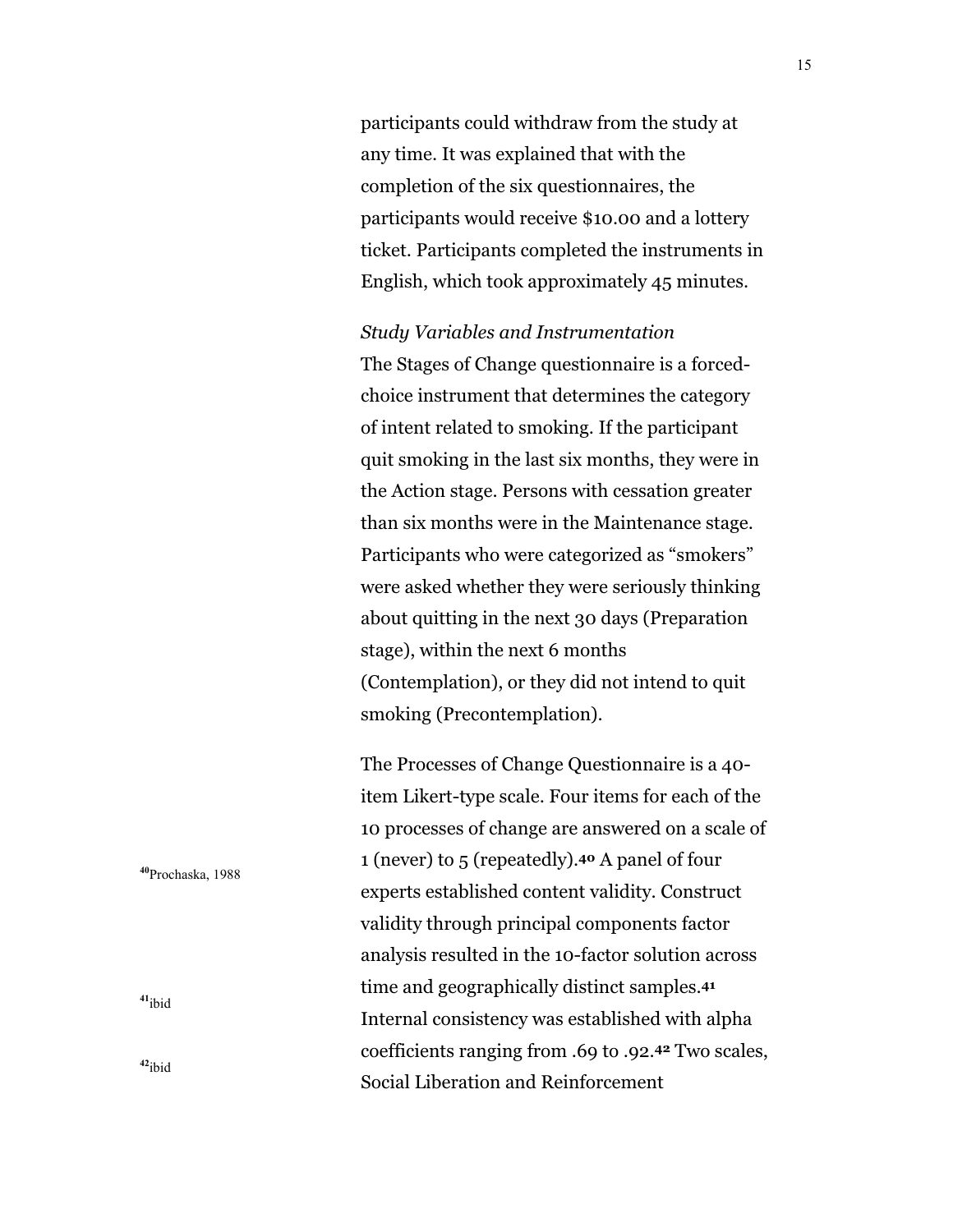participants could withdraw from the study at any time. It was explained that with the completion of the six questionnaires, the participants would receive \$10.00 and a lottery ticket. Participants completed the instruments in English, which took approximately 45 minutes.

*Study Variables and Instrumentation*

The Stages of Change questionnaire is a forcedchoice instrument that determines the category of intent related to smoking. If the participant quit smoking in the last six months, they were in the Action stage. Persons with cessation greater than six months were in the Maintenance stage. Participants who were categorized as "smokers" were asked whether they were seriously thinking about quitting in the next 30 days (Preparation stage), within the next 6 months (Contemplation), or they did not intend to quit smoking (Precontemplation).

The Processes of Change Questionnaire is a 40 item Likert-type scale. Four items for each of the 10 processes of change are answered on a scale of 1 (never) to 5 (repeatedly).**40** A panel of four experts established content validity. Construct validity through principal components factor analysis resulted in the 10-factor solution across time and geographically distinct samples.**<sup>41</sup>** Internal consistency was established with alpha coefficients ranging from .69 to .92.**42** Two scales, Social Liberation and Reinforcement

**<sup>40</sup>**Prochaska, 1988

**<sup>41</sup>**ibid

**<sup>42</sup>**ibid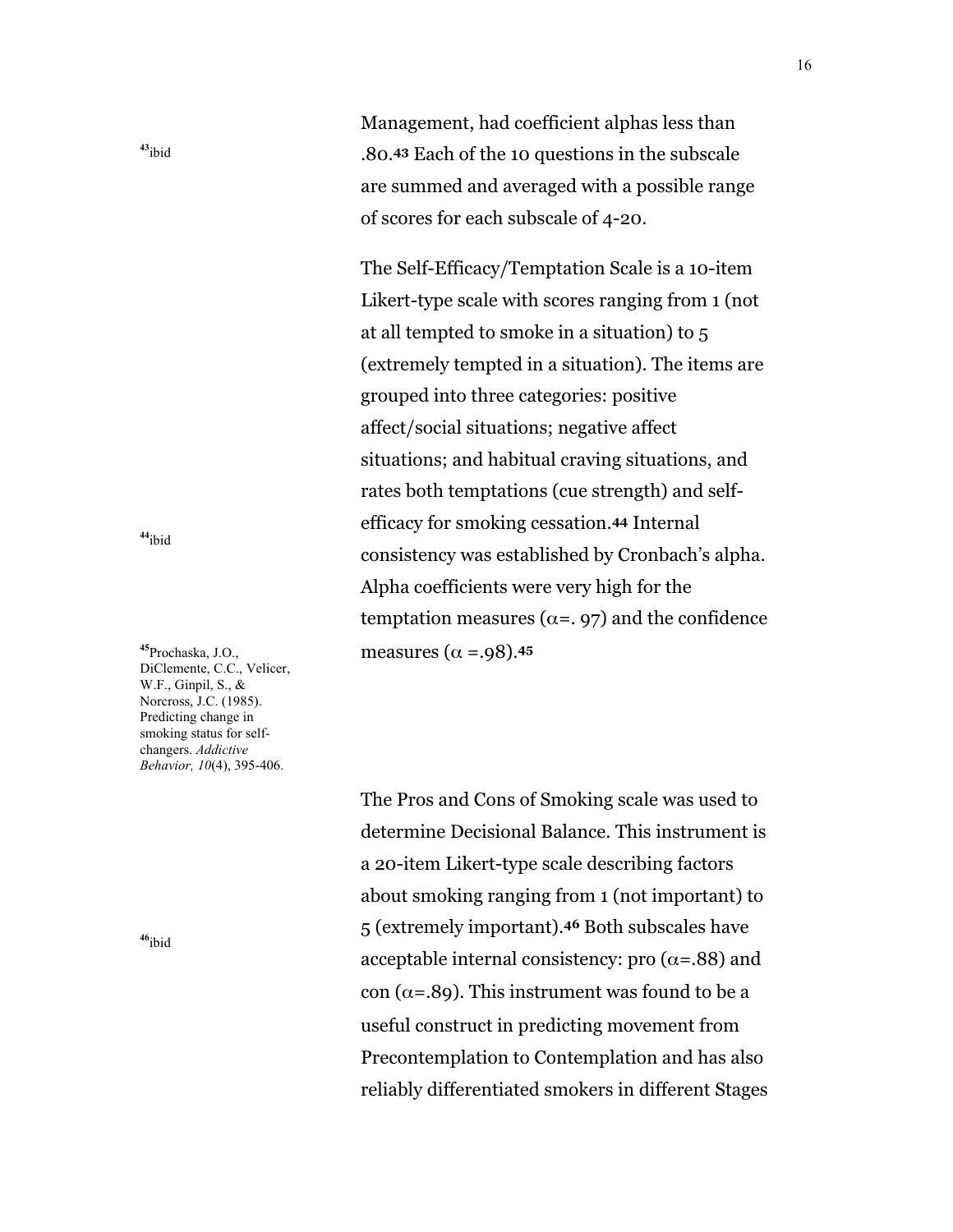Management, had coefficient alphas less than .80.**43** Each of the 10 questions in the subscale are summed and averaged with a possible range of scores for each subscale of 4-20.

The Self-Efficacy/Temptation Scale is a 10-item Likert-type scale with scores ranging from 1 (not at all tempted to smoke in a situation) to 5 (extremely tempted in a situation). The items are grouped into three categories: positive affect/social situations; negative affect situations; and habitual craving situations, and rates both temptations (cue strength) and selfefficacy for smoking cessation.**44** Internal consistency was established by Cronbach's alpha. Alpha coefficients were very high for the temptation measures ( $\alpha =$ , 97) and the confidence measures ( $\alpha = .98$ ).<sup>45</sup>

The Pros and Cons of Smoking scale was used to determine Decisional Balance. This instrument is a 20-item Likert-type scale describing factors about smoking ranging from 1 (not important) to 5 (extremely important).**46** Both subscales have acceptable internal consistency: pro ( $\alpha$ =.88) and con ( $\alpha$ =.89). This instrument was found to be a useful construct in predicting movement from Precontemplation to Contemplation and has also reliably differentiated smokers in different Stages

**<sup>44</sup>**ibid

**<sup>43</sup>**ibid

**<sup>45</sup>**Prochaska, J.O., DiClemente, C.C., Velicer, W.F., Ginpil, S., & Norcross, J.C. (1985). Predicting change in smoking status for selfchangers. *Addictive Behavior, 10*(4), 395-406.

**<sup>46</sup>**ibid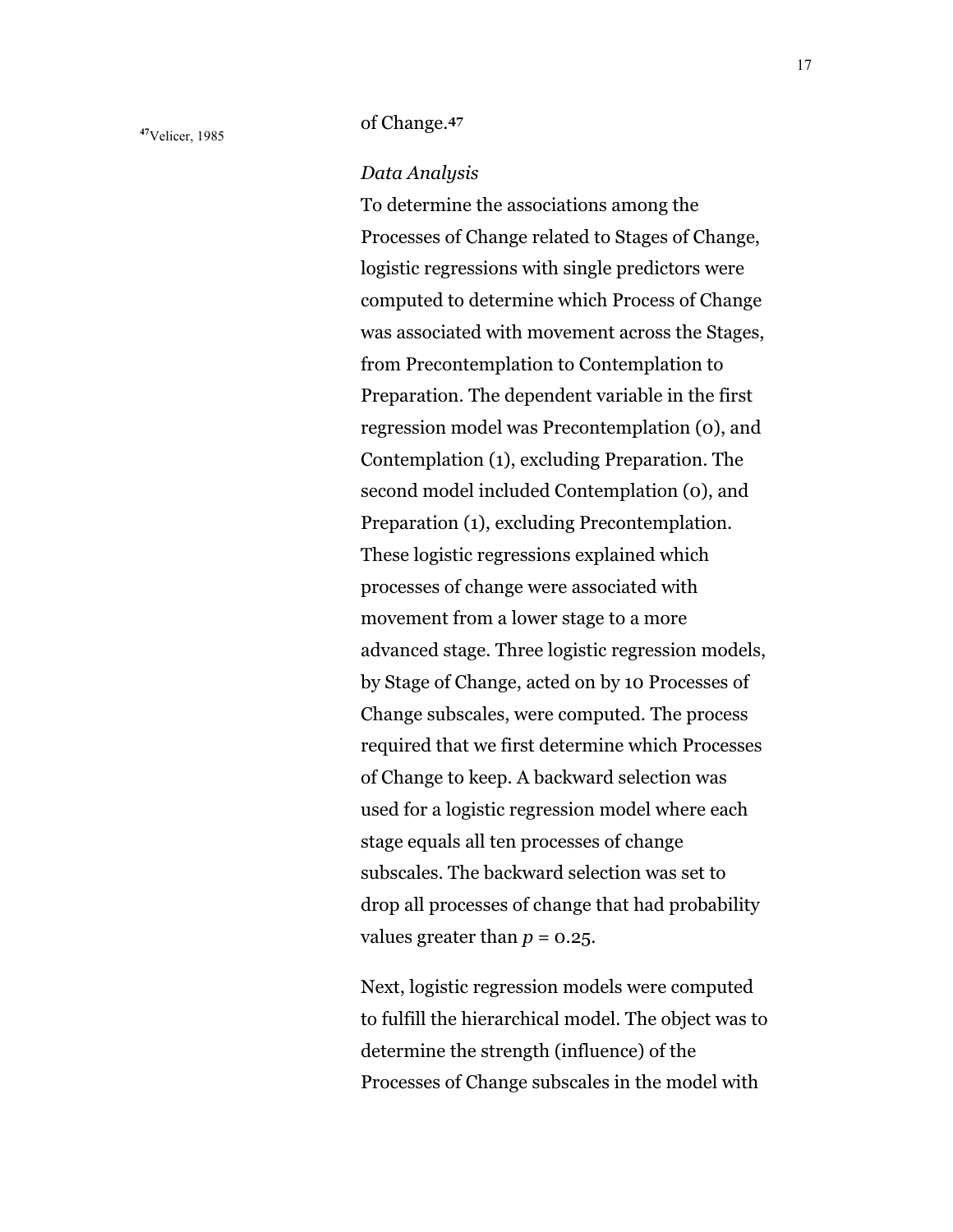# **<sup>47</sup>**Velicer, 1985 of Change.**<sup>47</sup>**

*Data Analysis*

To determine the associations among the Processes of Change related to Stages of Change, logistic regressions with single predictors were computed to determine which Process of Change was associated with movement across the Stages, from Precontemplation to Contemplation to Preparation. The dependent variable in the first regression model was Precontemplation (0), and Contemplation (1), excluding Preparation. The second model included Contemplation (0), and Preparation (1), excluding Precontemplation. These logistic regressions explained which processes of change were associated with movement from a lower stage to a more advanced stage. Three logistic regression models, by Stage of Change, acted on by 10 Processes of Change subscales, were computed. The process required that we first determine which Processes of Change to keep. A backward selection was used for a logistic regression model where each stage equals all ten processes of change subscales. The backward selection was set to drop all processes of change that had probability values greater than  $p = 0.25$ .

Next, logistic regression models were computed to fulfill the hierarchical model. The object was to determine the strength (influence) of the Processes of Change subscales in the model with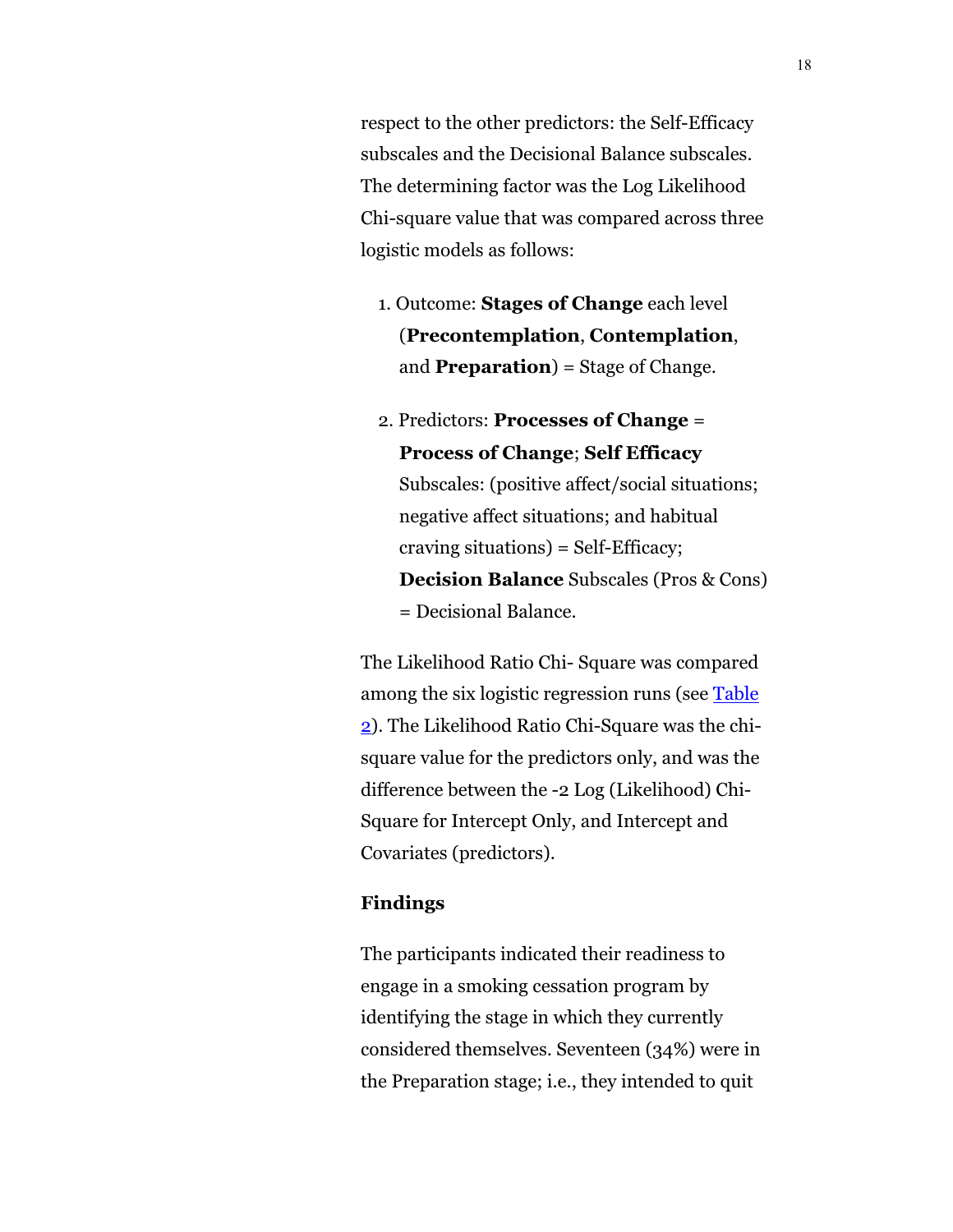<span id="page-17-0"></span>respect to the other predictors: the Self-Efficacy subscales and the Decisional Balance subscales. The determining factor was the Log Likelihood Chi-square value that was compared across three logistic models as follows:

- 1. Outcome: **Stages of Change** each level (**Precontemplation**, **Contemplation**, and **Preparation**) = Stage of Change.
- 2. Predictors: **Processes of Change** = **Process of Change**; **Self Efficacy** Subscales: (positive affect/social situations; negative affect situations; and habitual craving situations) = Self-Efficacy; **Decision Balance** Subscales (Pros & Cons) = Decisional Balance.

The Likelihood Ratio Chi- Square was compared among the six logistic regression runs (see [Table](#page-27-0) [2\).](#page-27-0) The Likelihood Ratio Chi-Square was the chisquare value for the predictors only, and was the difference between the -2 Log (Likelihood) Chi-Square for Intercept Only, and Intercept and Covariates (predictors).

#### **Findings**

The participants indicated their readiness to engage in a smoking cessation program by identifying the stage in which they currently considered themselves. Seventeen (34%) were in the Preparation stage; i.e., they intended to quit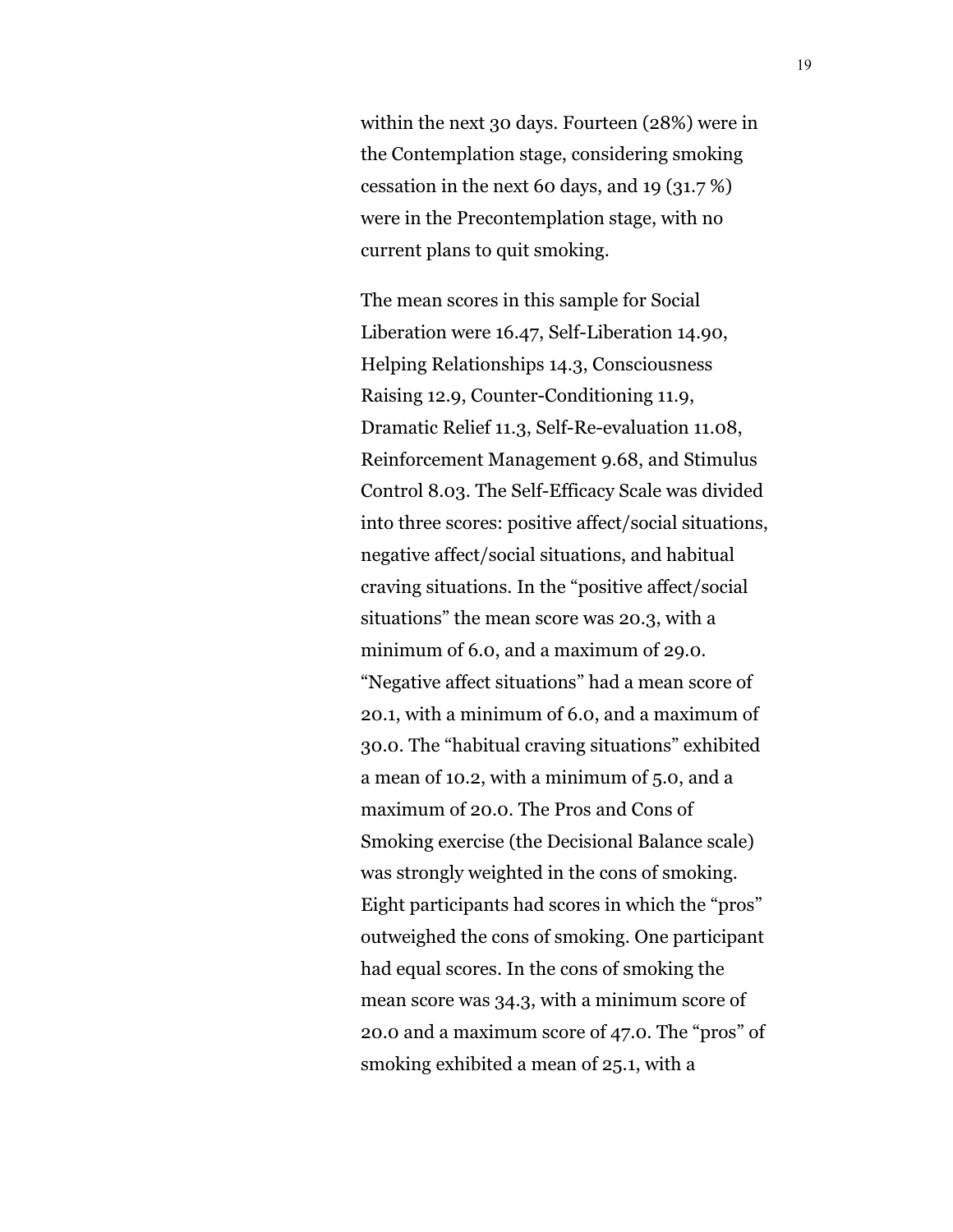within the next 30 days. Fourteen (28%) were in the Contemplation stage, considering smoking cessation in the next 60 days, and 19 (31.7 %) were in the Precontemplation stage, with no current plans to quit smoking.

The mean scores in this sample for Social Liberation were 16.47, Self-Liberation 14.90, Helping Relationships 14.3, Consciousness Raising 12.9, Counter-Conditioning 11.9, Dramatic Relief 11.3, Self-Re-evaluation 11.08, Reinforcement Management 9.68, and Stimulus Control 8.03. The Self-Efficacy Scale was divided into three scores: positive affect/social situations, negative affect/social situations, and habitual craving situations. In the "positive affect/social situations" the mean score was 20.3, with a minimum of 6.0, and a maximum of 29.0. "Negative affect situations" had a mean score of 20.1, with a minimum of 6.0, and a maximum of 30.0. The "habitual craving situations" exhibited a mean of 10.2, with a minimum of 5.0, and a maximum of 20.0. The Pros and Cons of Smoking exercise (the Decisional Balance scale) was strongly weighted in the cons of smoking. Eight participants had scores in which the "pros" outweighed the cons of smoking. One participant had equal scores. In the cons of smoking the mean score was 34.3, with a minimum score of 20.0 and a maximum score of 47.0. The "pros" of smoking exhibited a mean of 25.1, with a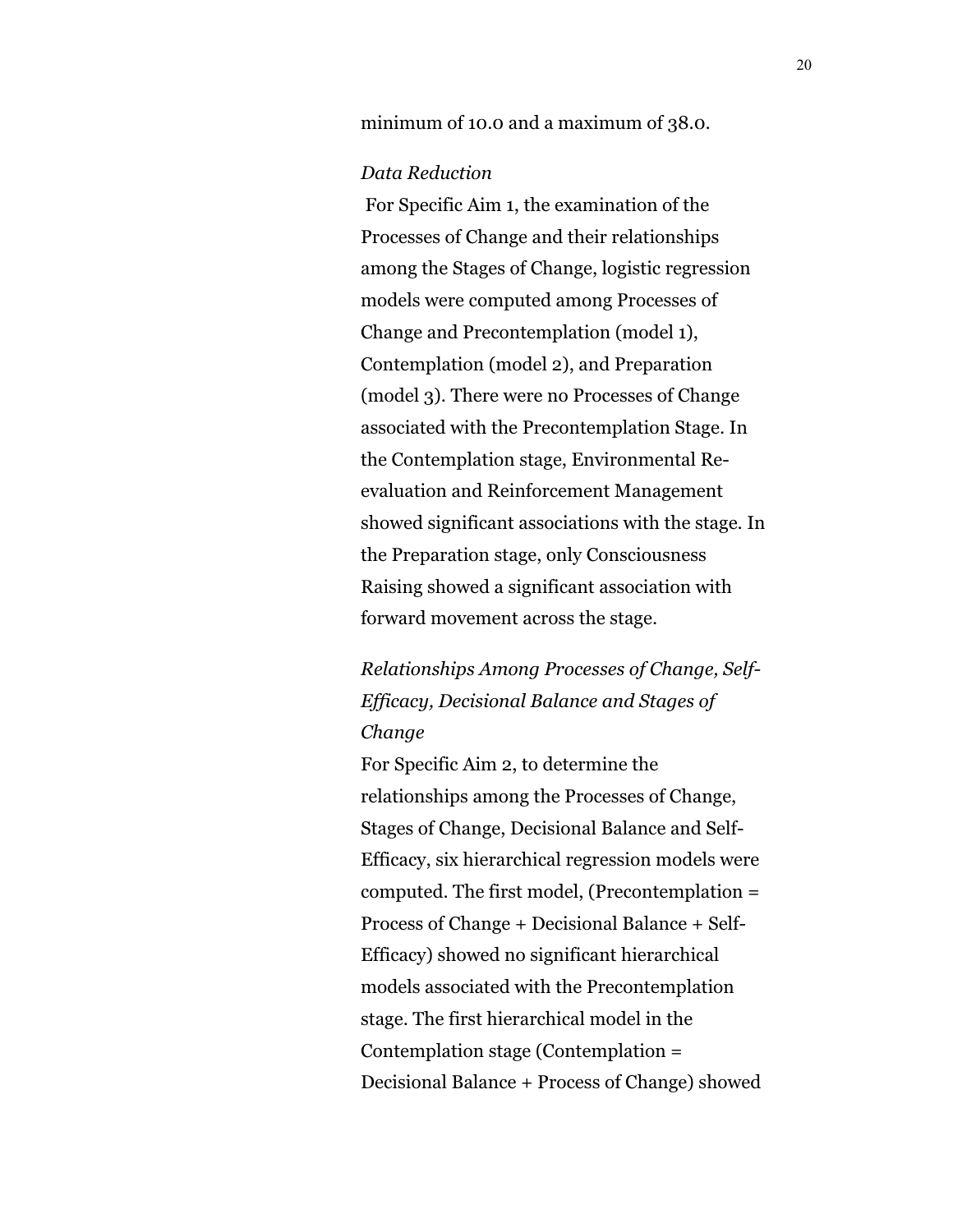minimum of 10.0 and a maximum of 38.0.

#### *Data Reduction*

 For Specific Aim 1, the examination of the Processes of Change and their relationships among the Stages of Change, logistic regression models were computed among Processes of Change and Precontemplation (model 1), Contemplation (model 2), and Preparation (model 3). There were no Processes of Change associated with the Precontemplation Stage. In the Contemplation stage, Environmental Reevaluation and Reinforcement Management showed significant associations with the stage. In the Preparation stage, only Consciousness Raising showed a significant association with forward movement across the stage.

*Relationships Among Processes of Change, Self-Efficacy, Decisional Balance and Stages of Change*

For Specific Aim 2, to determine the relationships among the Processes of Change, Stages of Change, Decisional Balance and Self-Efficacy, six hierarchical regression models were computed. The first model, (Precontemplation = Process of Change + Decisional Balance + Self-Efficacy) showed no significant hierarchical models associated with the Precontemplation stage. The first hierarchical model in the Contemplation stage (Contemplation = Decisional Balance + Process of Change) showed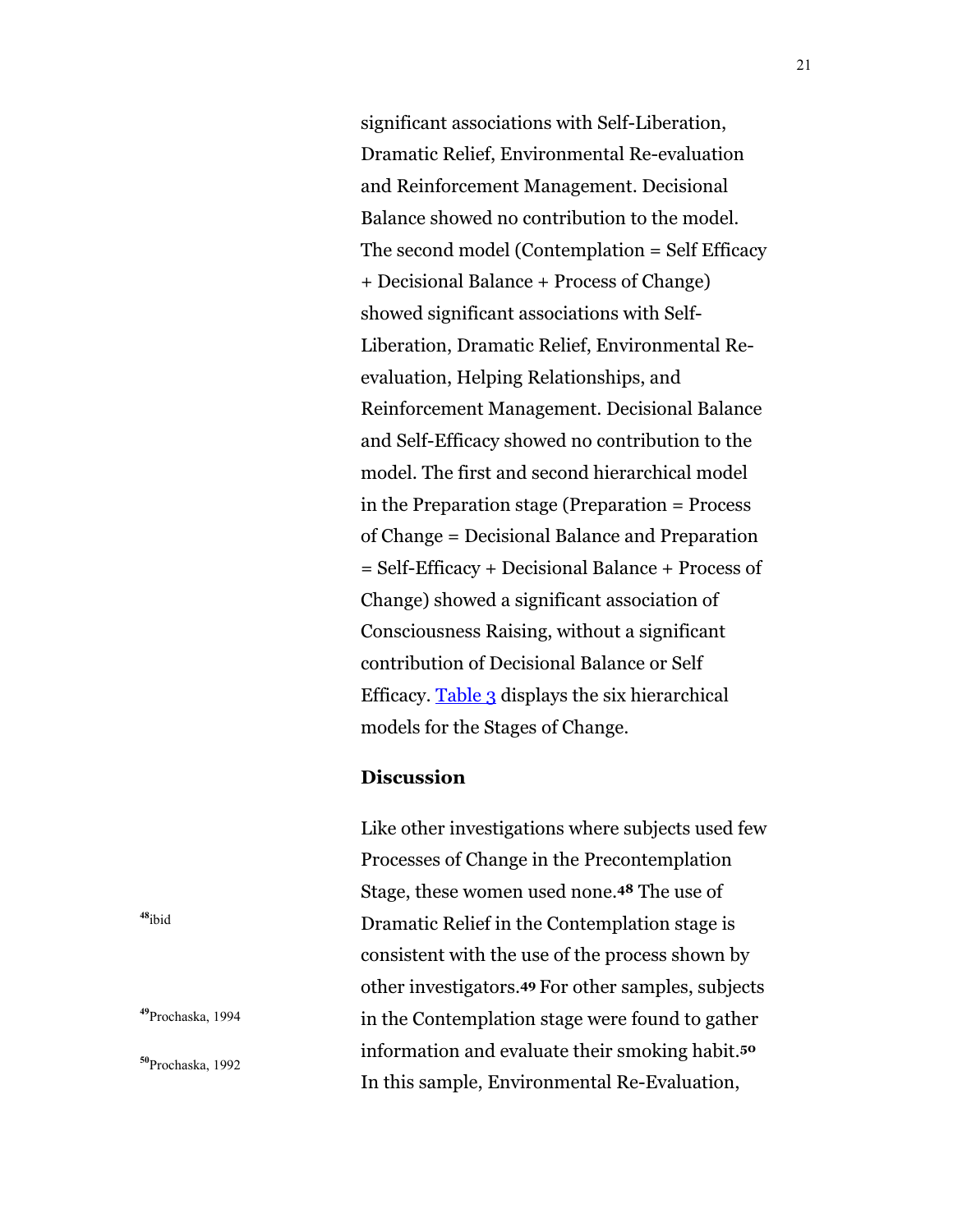<span id="page-20-0"></span>significant associations with Self-Liberation, Dramatic Relief, Environmental Re-evaluation and Reinforcement Management. Decisional Balance showed no contribution to the model. The second model (Contemplation = Self Efficacy + Decisional Balance + Process of Change) showed significant associations with Self-Liberation, Dramatic Relief, Environmental Reevaluation, Helping Relationships, and Reinforcement Management. Decisional Balance and Self-Efficacy showed no contribution to the model. The first and second hierarchical model in the Preparation stage (Preparation = Process of Change = Decisional Balance and Preparation = Self-Efficacy + Decisional Balance + Process of Change) showed a significant association of Consciousness Raising, without a significant contribution of Decisional Balance or Self Efficacy. [Table 3 d](#page-28-0)isplays the six hierarchical models for the Stages of Change.

#### **Discussion**

Like other investigations where subjects used few Processes of Change in the Precontemplation Stage, these women used none.**48** The use of Dramatic Relief in the Contemplation stage is consistent with the use of the process shown by other investigators.**49** For other samples, subjects in the Contemplation stage were found to gather information and evaluate their smoking habit.**<sup>50</sup>** In this sample, Environmental Re-Evaluation,

**<sup>48</sup>**ibid

**<sup>49</sup>**Prochaska, 1994

**<sup>50</sup>**Prochaska, 1992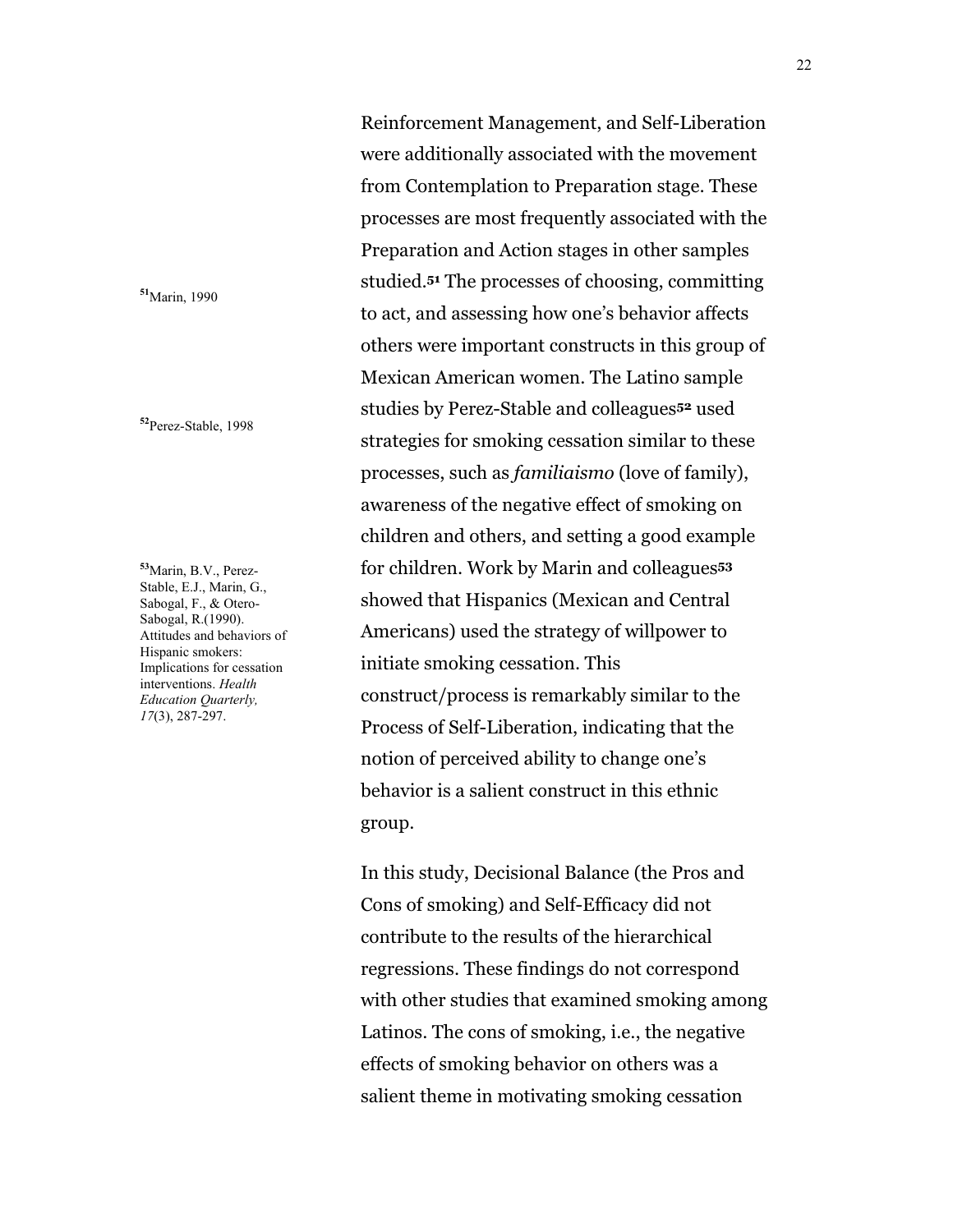**<sup>51</sup>**Marin, 1990

**<sup>52</sup>**Perez-Stable, 1998

**<sup>53</sup>**Marin, B.V., Perez-Stable, E.J., Marin, G., Sabogal, F., & Otero-Sabogal, R.(1990). Attitudes and behaviors of Hispanic smokers: Implications for cessation interventions. *Health Education Quarterly, 17*(3), 287-297.

Reinforcement Management, and Self-Liberation were additionally associated with the movement from Contemplation to Preparation stage. These processes are most frequently associated with the Preparation and Action stages in other samples studied.**51** The processes of choosing, committing to act, and assessing how one's behavior affects others were important constructs in this group of Mexican American women. The Latino sample studies by Perez-Stable and colleagues**52** used strategies for smoking cessation similar to these processes, such as *familiaismo* (love of family), awareness of the negative effect of smoking on children and others, and setting a good example for children. Work by Marin and colleagues**<sup>53</sup>** showed that Hispanics (Mexican and Central Americans) used the strategy of willpower to initiate smoking cessation. This construct/process is remarkably similar to the Process of Self-Liberation, indicating that the notion of perceived ability to change one's behavior is a salient construct in this ethnic group.

In this study, Decisional Balance (the Pros and Cons of smoking) and Self-Efficacy did not contribute to the results of the hierarchical regressions. These findings do not correspond with other studies that examined smoking among Latinos. The cons of smoking, i.e., the negative effects of smoking behavior on others was a salient theme in motivating smoking cessation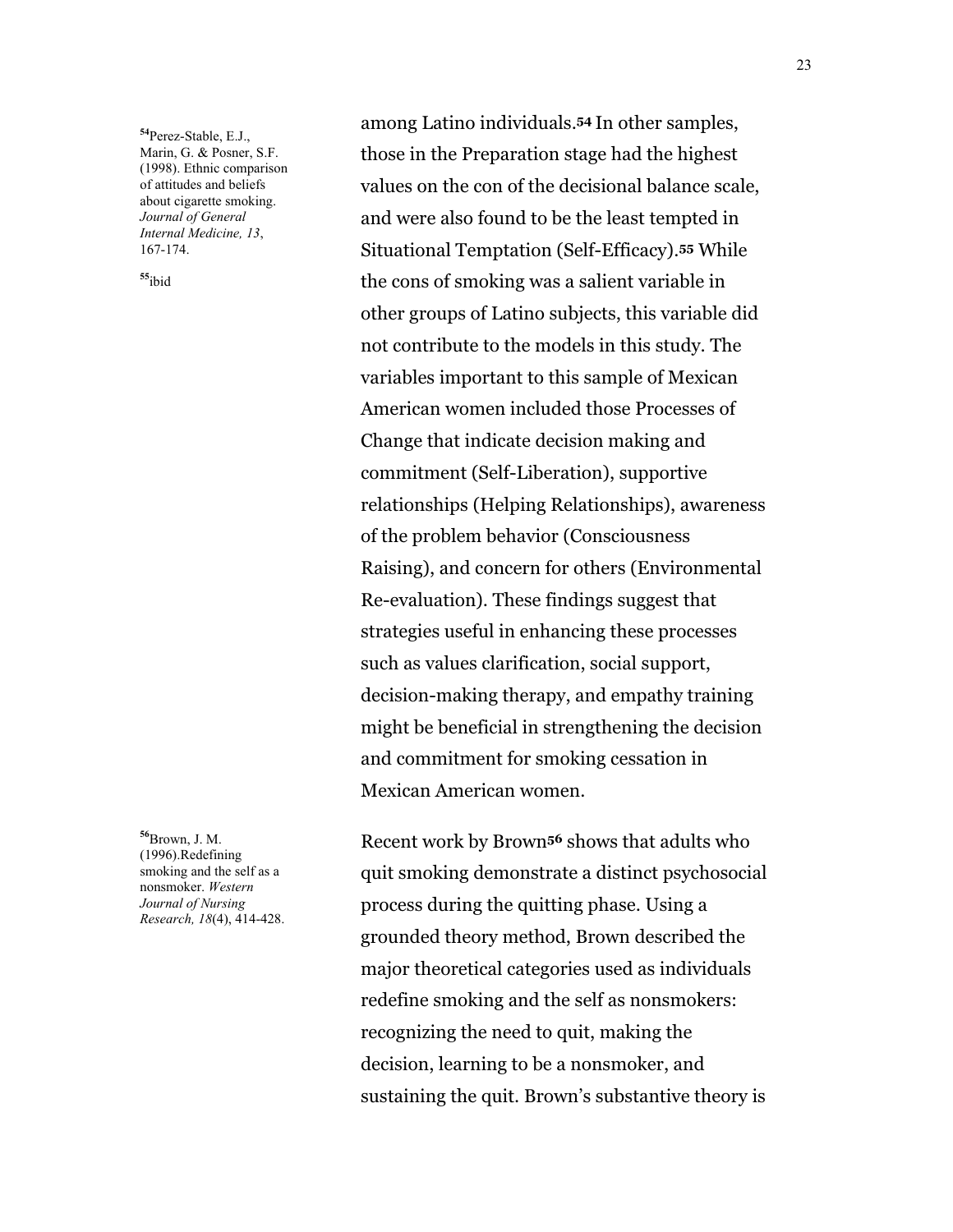**<sup>54</sup>**Perez-Stable, E.J., Marin, G. & Posner, S.F. (1998). Ethnic comparison of attitudes and beliefs about cigarette smoking. *Journal of General Internal Medicine, 13*, 167-174.

**<sup>55</sup>**ibid

**<sup>56</sup>**Brown, J. M. (1996).Redefining smoking and the self as a nonsmoker. *Western Journal of Nursing Research, 18*(4), 414-428.

among Latino individuals.**54** In other samples, those in the Preparation stage had the highest values on the con of the decisional balance scale, and were also found to be the least tempted in Situational Temptation (Self-Efficacy).**55** While the cons of smoking was a salient variable in other groups of Latino subjects, this variable did not contribute to the models in this study. The variables important to this sample of Mexican American women included those Processes of Change that indicate decision making and commitment (Self-Liberation), supportive relationships (Helping Relationships), awareness of the problem behavior (Consciousness Raising), and concern for others (Environmental Re-evaluation). These findings suggest that strategies useful in enhancing these processes such as values clarification, social support, decision-making therapy, and empathy training might be beneficial in strengthening the decision and commitment for smoking cessation in Mexican American women.

Recent work by Brown**56** shows that adults who quit smoking demonstrate a distinct psychosocial process during the quitting phase. Using a grounded theory method, Brown described the major theoretical categories used as individuals redefine smoking and the self as nonsmokers: recognizing the need to quit, making the decision, learning to be a nonsmoker, and sustaining the quit. Brown's substantive theory is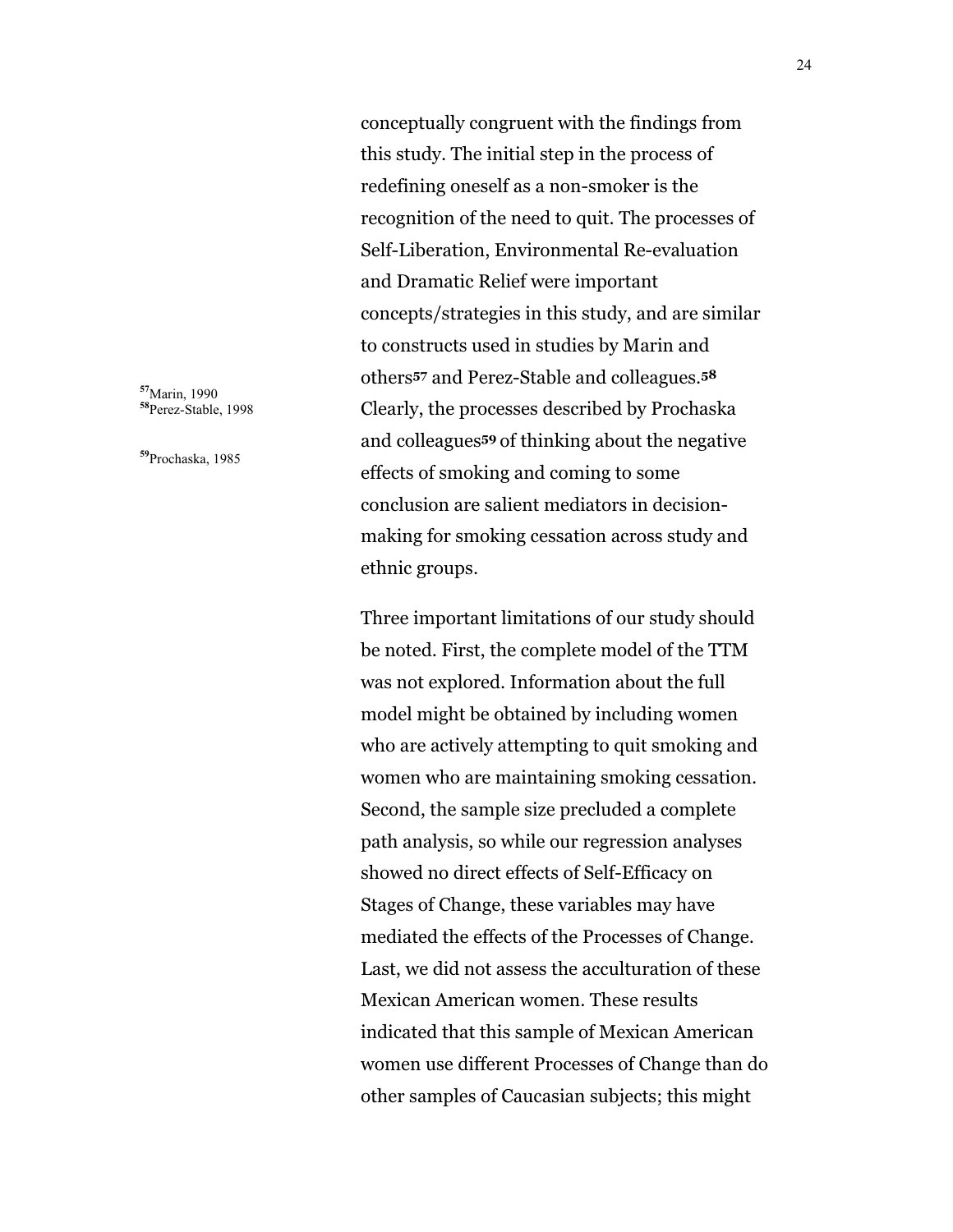conceptually congruent with the findings from this study. The initial step in the process of redefining oneself as a non-smoker is the recognition of the need to quit. The processes of Self-Liberation, Environmental Re-evaluation and Dramatic Relief were important concepts/strategies in this study, and are similar to constructs used in studies by Marin and others**57** and Perez-Stable and colleagues.**<sup>58</sup>** Clearly, the processes described by Prochaska and colleagues**<sup>59</sup>** of thinking about the negative effects of smoking and coming to some conclusion are salient mediators in decisionmaking for smoking cessation across study and ethnic groups.

Three important limitations of our study should be noted. First, the complete model of the TTM was not explored. Information about the full model might be obtained by including women who are actively attempting to quit smoking and women who are maintaining smoking cessation. Second, the sample size precluded a complete path analysis, so while our regression analyses showed no direct effects of Self-Efficacy on Stages of Change, these variables may have mediated the effects of the Processes of Change. Last, we did not assess the acculturation of these Mexican American women. These results indicated that this sample of Mexican American women use different Processes of Change than do other samples of Caucasian subjects; this might

**<sup>57</sup>**Marin, 1990 **<sup>58</sup>**Perez-Stable, 1998

**<sup>59</sup>**Prochaska, 1985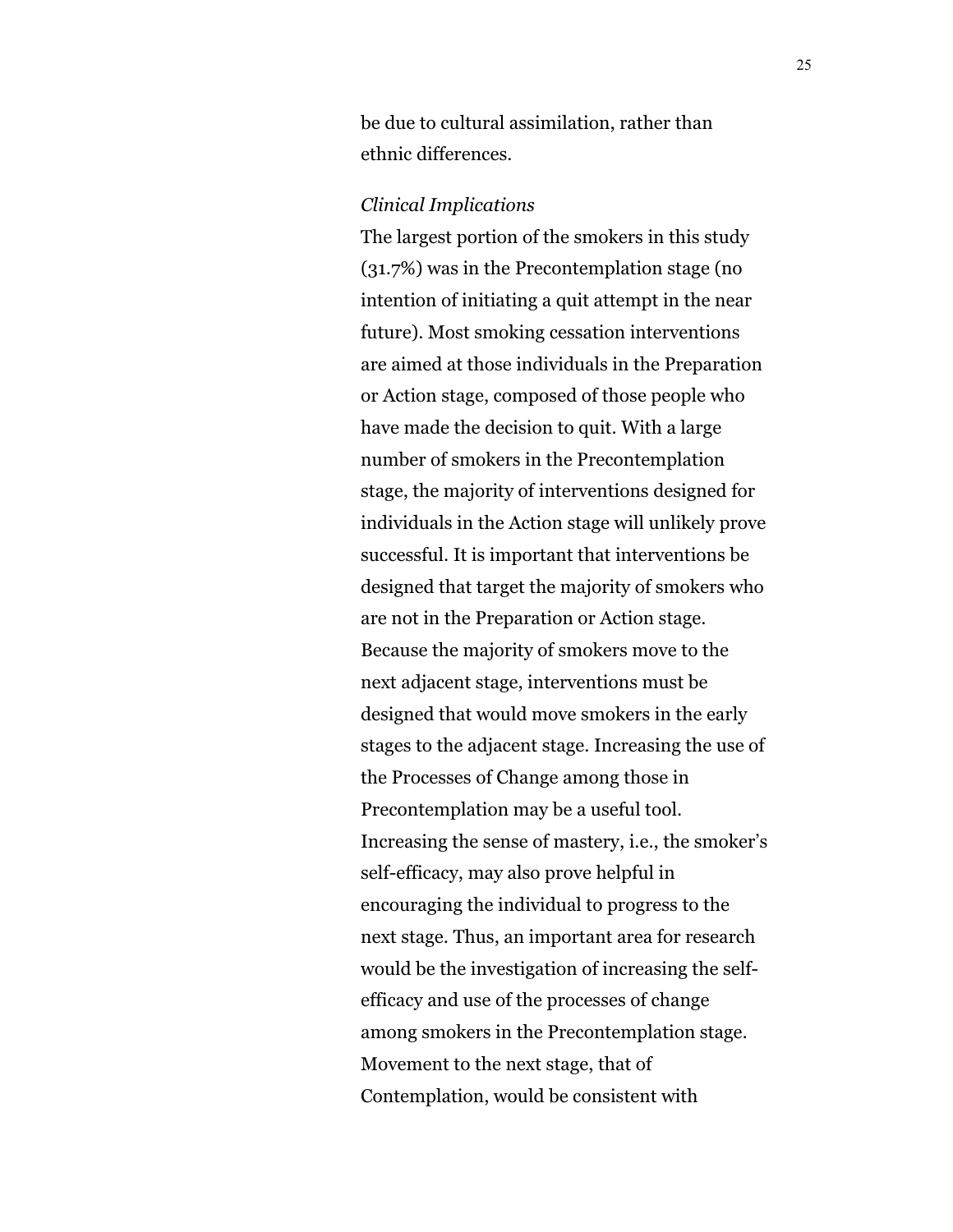be due to cultural assimilation, rather than ethnic differences.

#### *Clinical Implications*

The largest portion of the smokers in this study (31.7%) was in the Precontemplation stage (no intention of initiating a quit attempt in the near future). Most smoking cessation interventions are aimed at those individuals in the Preparation or Action stage, composed of those people who have made the decision to quit. With a large number of smokers in the Precontemplation stage, the majority of interventions designed for individuals in the Action stage will unlikely prove successful. It is important that interventions be designed that target the majority of smokers who are not in the Preparation or Action stage. Because the majority of smokers move to the next adjacent stage, interventions must be designed that would move smokers in the early stages to the adjacent stage. Increasing the use of the Processes of Change among those in Precontemplation may be a useful tool. Increasing the sense of mastery, i.e., the smoker's self-efficacy, may also prove helpful in encouraging the individual to progress to the next stage. Thus, an important area for research would be the investigation of increasing the selfefficacy and use of the processes of change among smokers in the Precontemplation stage. Movement to the next stage, that of Contemplation, would be consistent with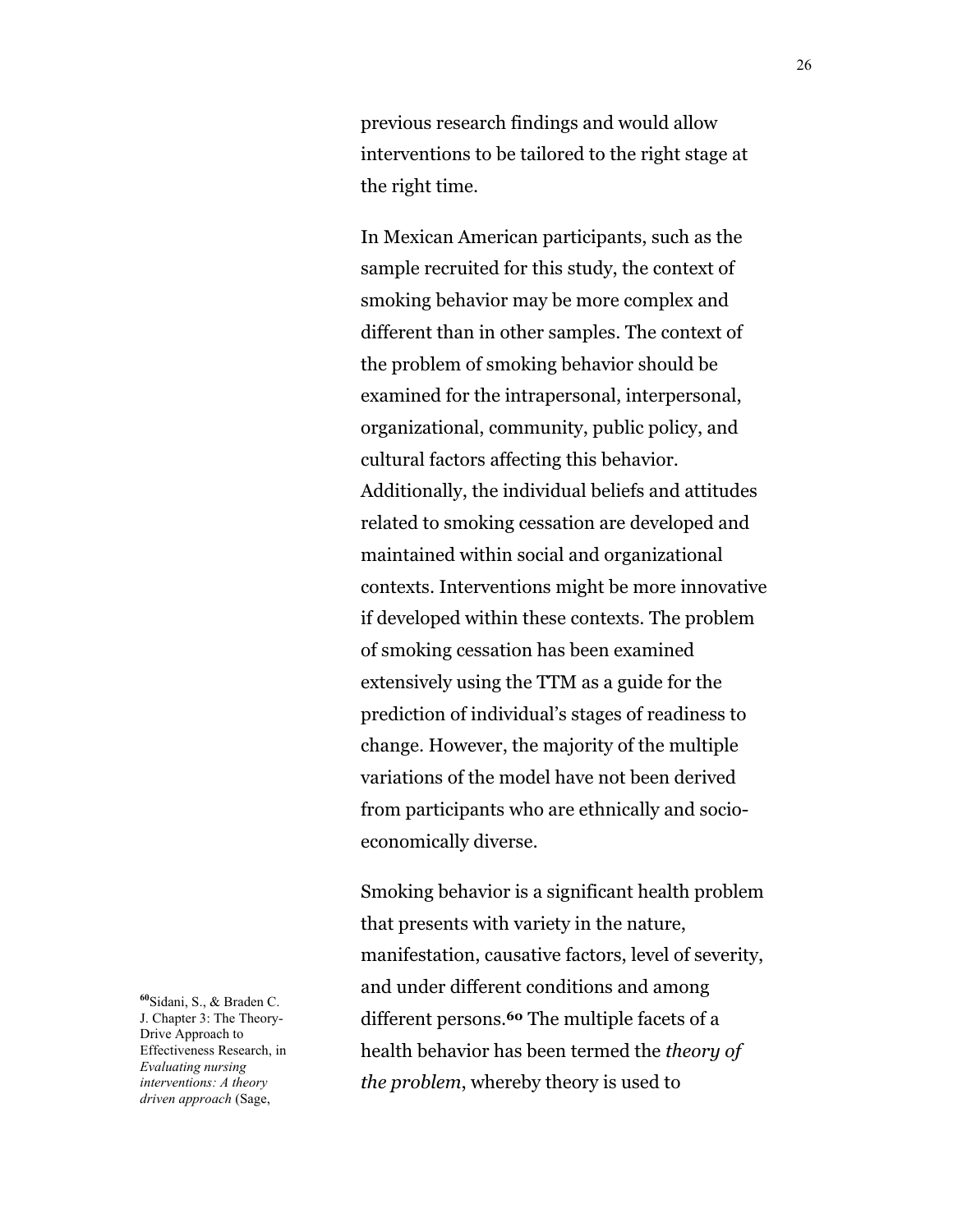previous research findings and would allow interventions to be tailored to the right stage at the right time.

In Mexican American participants, such as the sample recruited for this study, the context of smoking behavior may be more complex and different than in other samples. The context of the problem of smoking behavior should be examined for the intrapersonal, interpersonal, organizational, community, public policy, and cultural factors affecting this behavior. Additionally, the individual beliefs and attitudes related to smoking cessation are developed and maintained within social and organizational contexts. Interventions might be more innovative if developed within these contexts. The problem of smoking cessation has been examined extensively using the TTM as a guide for the prediction of individual's stages of readiness to change. However, the majority of the multiple variations of the model have not been derived from participants who are ethnically and socioeconomically diverse.

Smoking behavior is a significant health problem that presents with variety in the nature, manifestation, causative factors, level of severity, and under different conditions and among different persons.**60** The multiple facets of a health behavior has been termed the *theory of the problem*, whereby theory is used to

**<sup>60</sup>**Sidani, S., & Braden C. J. Chapter 3: The Theory-Drive Approach to Effectiveness Research, in *Evaluating nursing interventions: A theory driven approach* (Sage,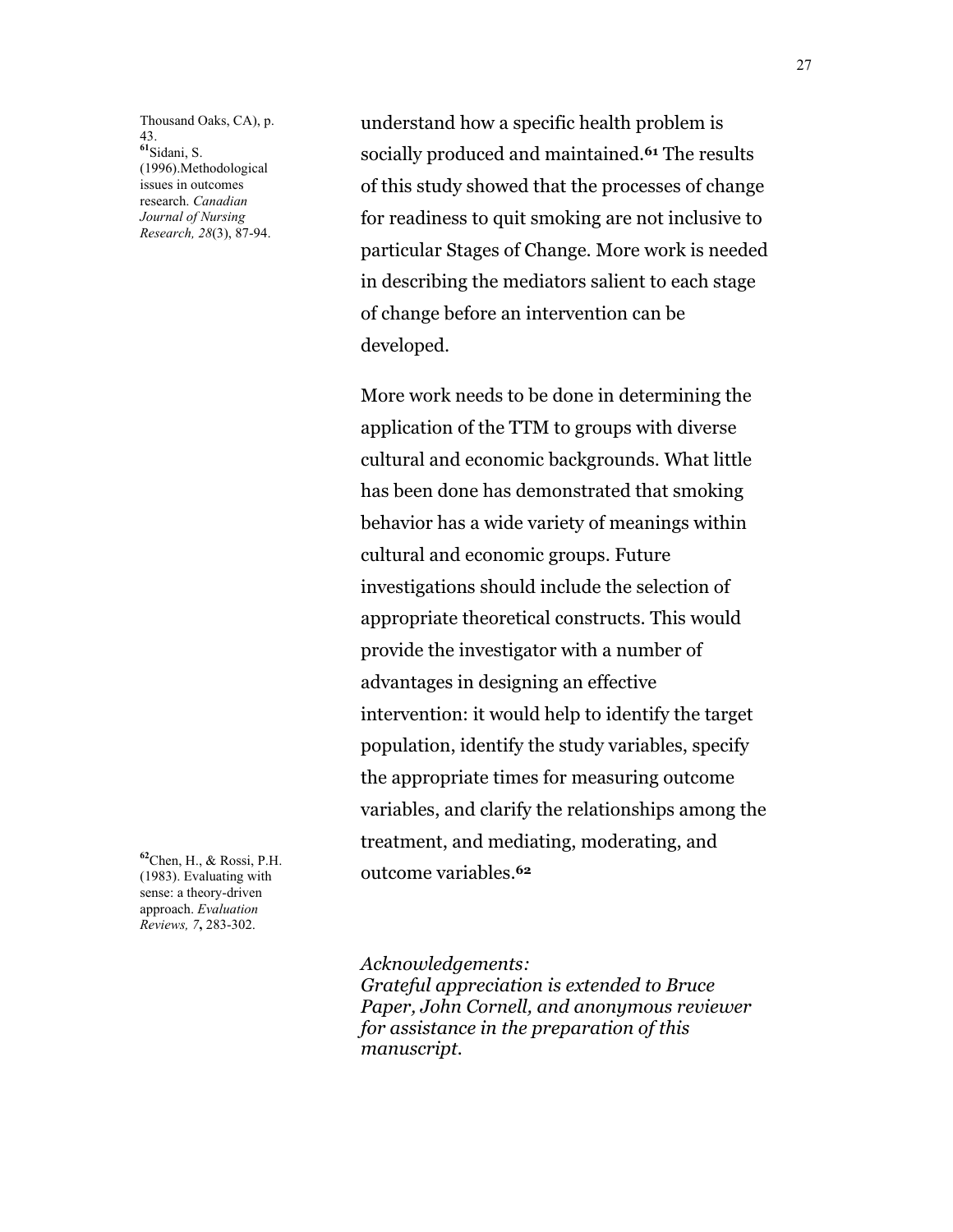Thousand Oaks, CA), p. 43. **<sup>61</sup>**Sidani, S. (1996).Methodological issues in outcomes research. *Canadian Journal of Nursing Research, 28*(3), 87-94.

**<sup>62</sup>**Chen, H., & Rossi, P.H. (1983). Evaluating with sense: a theory-driven approach. *Evaluation Reviews, 7***,** 283-302.

understand how a specific health problem is socially produced and maintained.**61** The results of this study showed that the processes of change for readiness to quit smoking are not inclusive to particular Stages of Change. More work is needed in describing the mediators salient to each stage of change before an intervention can be developed.

More work needs to be done in determining the application of the TTM to groups with diverse cultural and economic backgrounds. What little has been done has demonstrated that smoking behavior has a wide variety of meanings within cultural and economic groups. Future investigations should include the selection of appropriate theoretical constructs. This would provide the investigator with a number of advantages in designing an effective intervention: it would help to identify the target population, identify the study variables, specify the appropriate times for measuring outcome variables, and clarify the relationships among the treatment, and mediating, moderating, and outcome variables.**<sup>62</sup>**

*Acknowledgements:*

*Grateful appreciation is extended to Bruce Paper, John Cornell, and anonymous reviewer for assistance in the preparation of this manuscript.*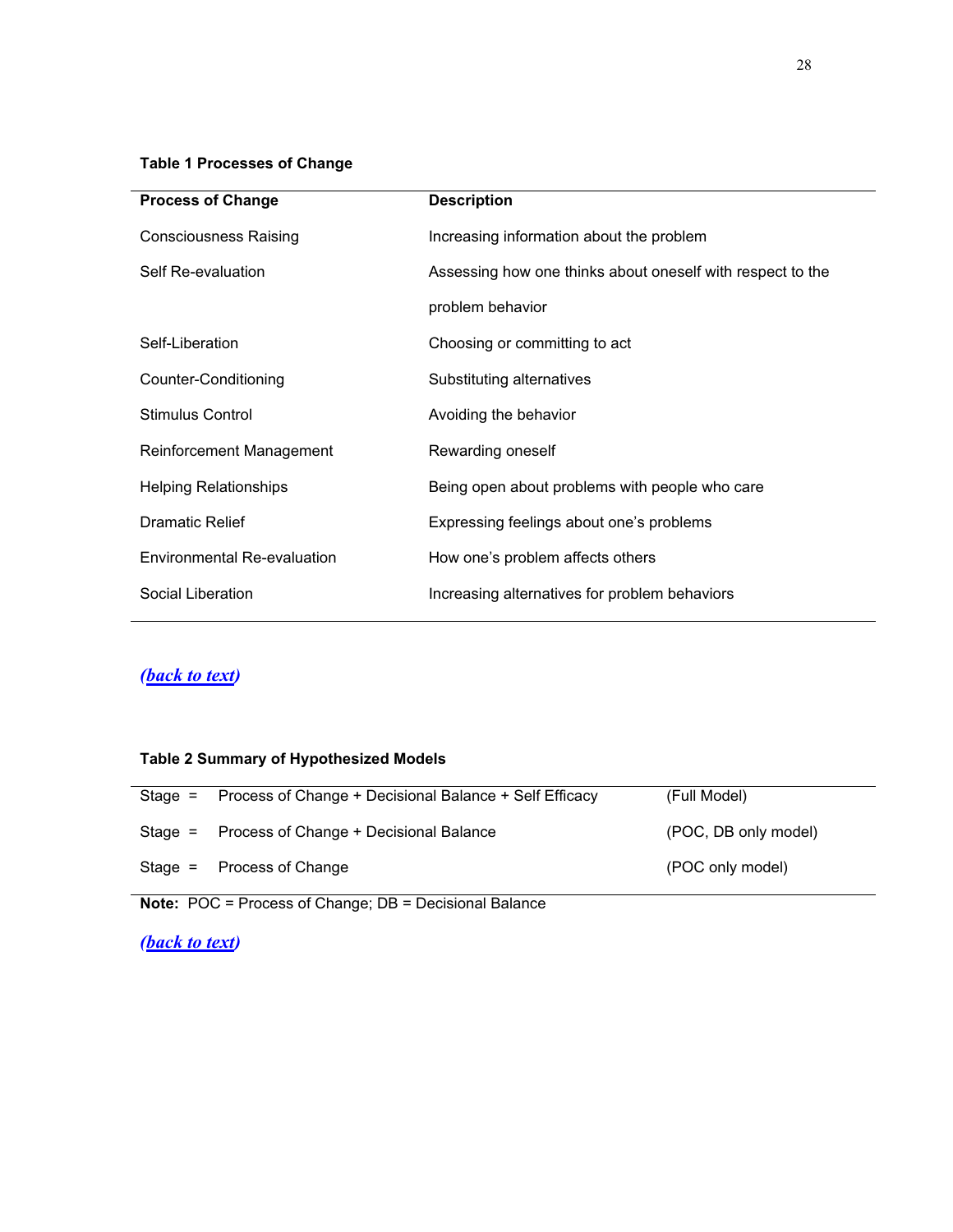#### <span id="page-27-0"></span>**Table 1 Processes of Change**

| <b>Process of Change</b>           | <b>Description</b>                                         |
|------------------------------------|------------------------------------------------------------|
| <b>Consciousness Raising</b>       | Increasing information about the problem                   |
| Self Re-evaluation                 | Assessing how one thinks about oneself with respect to the |
|                                    | problem behavior                                           |
| Self-Liberation                    | Choosing or committing to act                              |
| Counter-Conditioning               | Substituting alternatives                                  |
| Stimulus Control                   | Avoiding the behavior                                      |
| Reinforcement Management           | Rewarding oneself                                          |
| Helping Relationships              | Being open about problems with people who care             |
| <b>Dramatic Relief</b>             | Expressing feelings about one's problems                   |
| <b>Environmental Re-evaluation</b> | How one's problem affects others                           |
| Social Liberation                  | Increasing alternatives for problem behaviors              |
|                                    |                                                            |

## *[\(back to text\)](#page-7-0)*

## **Table 2 Summary of Hypothesized Models**

| Stage = Process of Change + Decisional Balance + Self Efficacy | (Full Model)         |
|----------------------------------------------------------------|----------------------|
| Stage = Process of Change + Decisional Balance                 | (POC, DB only model) |
| Stage $=$ Process of Change                                    | (POC only model)     |

**Note:** POC = Process of Change; DB = Decisional Balance

### *[\(back to text\)](#page-17-0)*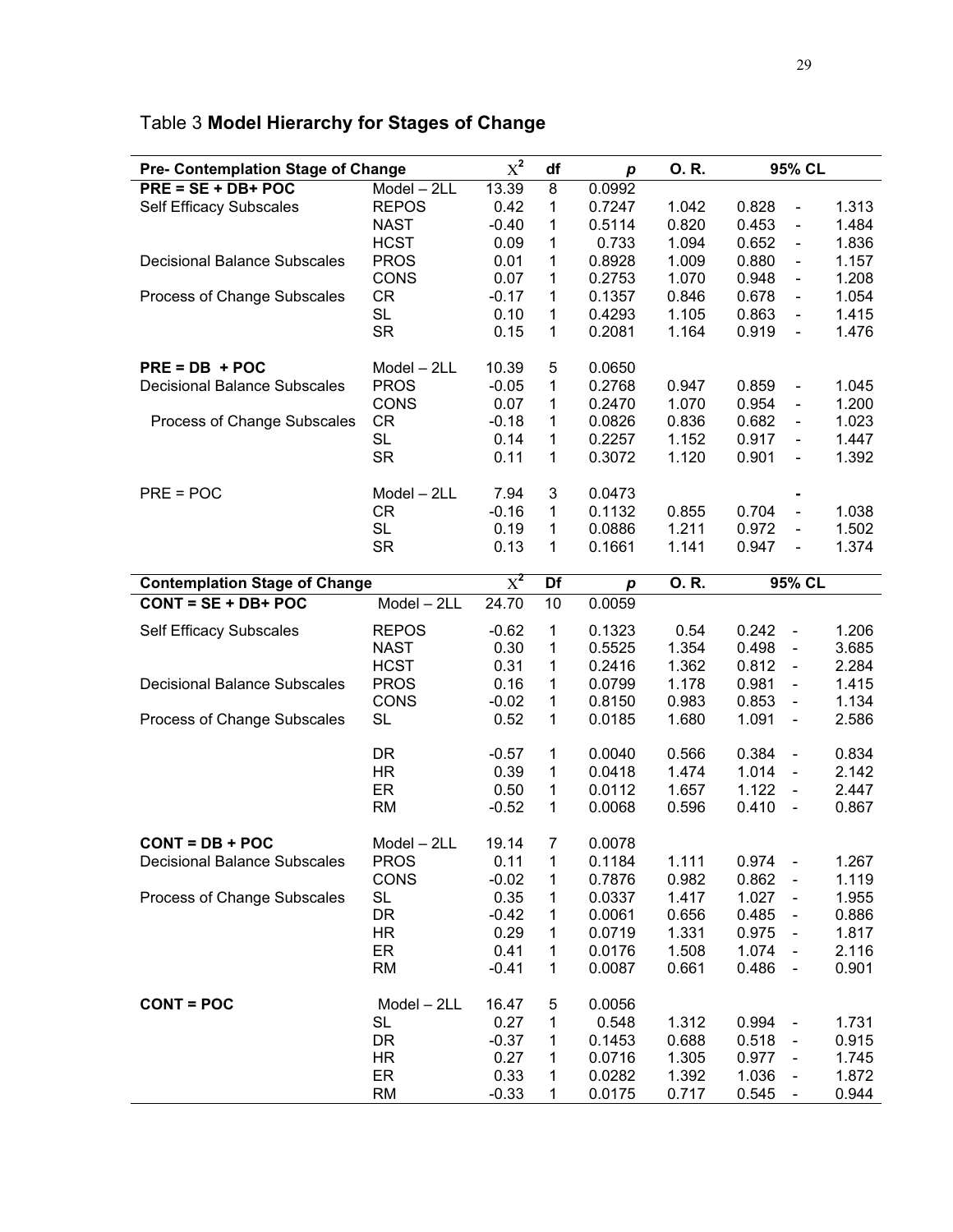| <b>Pre- Contemplation Stage of Change</b> |               | $X^2$   | df | p                | 0. R. | 95% CL                                |       |
|-------------------------------------------|---------------|---------|----|------------------|-------|---------------------------------------|-------|
| $PRE = SE + DB + POC$                     | Model - 2LL   | 13.39   | 8  | 0.0992           |       |                                       |       |
| Self Efficacy Subscales                   | <b>REPOS</b>  | 0.42    | 1  | 0.7247           | 1.042 | 0.828<br>$\overline{\phantom{0}}$     | 1.313 |
|                                           | <b>NAST</b>   | $-0.40$ | 1  | 0.5114           | 0.820 | 0.453                                 | 1.484 |
|                                           |               |         |    |                  |       | -                                     |       |
|                                           | <b>HCST</b>   | 0.09    | 1  | 0.733            | 1.094 | 0.652<br>-<br>0.880                   | 1.836 |
| <b>Decisional Balance Subscales</b>       | <b>PROS</b>   | 0.01    | 1  | 0.8928           | 1.009 | $\overline{\phantom{0}}$              | 1.157 |
|                                           | CONS          | 0.07    | 1  | 0.2753           | 1.070 | 0.948<br>$\overline{\phantom{0}}$     | 1.208 |
| Process of Change Subscales               | <b>CR</b>     | $-0.17$ | 1  | 0.1357           | 0.846 | 0.678<br>$\overline{\phantom{0}}$     | 1.054 |
|                                           | <b>SL</b>     | 0.10    | 1  | 0.4293           | 1.105 | 0.863<br>$\overline{\phantom{a}}$     | 1.415 |
|                                           | <b>SR</b>     | 0.15    | 1  | 0.2081           | 1.164 | 0.919<br>$\qquad \qquad \blacksquare$ | 1.476 |
| $PRE = DB + POC$                          | Model - 2LL   | 10.39   | 5  | 0.0650           |       |                                       |       |
| <b>Decisional Balance Subscales</b>       | <b>PROS</b>   | $-0.05$ | 1  | 0.2768           | 0.947 | 0.859<br>$\overline{\phantom{0}}$     | 1.045 |
|                                           | <b>CONS</b>   | 0.07    | 1  | 0.2470           | 1.070 | 0.954<br>$\overline{\phantom{0}}$     | 1.200 |
| Process of Change Subscales               | <b>CR</b>     | $-0.18$ | 1  | 0.0826           | 0.836 | 0.682<br>$\overline{\phantom{0}}$     | 1.023 |
|                                           | <b>SL</b>     | 0.14    | 1  | 0.2257           | 1.152 | 0.917<br>$\overline{\phantom{0}}$     | 1.447 |
|                                           | <b>SR</b>     | 0.11    | 1  | 0.3072           | 1.120 | 0.901<br>$\qquad \qquad \blacksquare$ | 1.392 |
|                                           |               |         |    |                  |       |                                       |       |
| $PRE = POC$                               | Model - 2LL   | 7.94    | 3  | 0.0473           |       |                                       |       |
|                                           | CR            | $-0.16$ | 1  | 0.1132           | 0.855 | 0.704<br>$\overline{\phantom{a}}$     | 1.038 |
|                                           | <b>SL</b>     | 0.19    | 1  | 0.0886           | 1.211 | 0.972<br>$\overline{\phantom{a}}$     | 1.502 |
|                                           | <b>SR</b>     | 0.13    | 1  | 0.1661           | 1.141 | 0.947<br>$\qquad \qquad \blacksquare$ | 1.374 |
| <b>Contemplation Stage of Change</b>      |               | $X^2$   | Df | $\boldsymbol{p}$ | 0.R.  | 95% CL                                |       |
| $CONT = SE + DB + POC$                    | $Model - 2LL$ | 24.70   | 10 | 0.0059           |       |                                       |       |
|                                           |               |         |    |                  |       |                                       |       |
| Self Efficacy Subscales                   | <b>REPOS</b>  | $-0.62$ | 1  | 0.1323           | 0.54  | 0.242<br>$\overline{\phantom{a}}$     | 1.206 |
|                                           | <b>NAST</b>   | 0.30    | 1  | 0.5525           | 1.354 | 0.498<br>$\blacksquare$               | 3.685 |
|                                           | <b>HCST</b>   | 0.31    | 1  | 0.2416           | 1.362 | 0.812<br>$\blacksquare$               | 2.284 |
| <b>Decisional Balance Subscales</b>       | <b>PROS</b>   | 0.16    | 1  | 0.0799           | 1.178 | 0.981<br>$\qquad \qquad \blacksquare$ | 1.415 |
|                                           | <b>CONS</b>   | $-0.02$ | 1  | 0.8150           | 0.983 | 0.853<br>$\qquad \qquad \blacksquare$ | 1.134 |
| Process of Change Subscales               | <b>SL</b>     | 0.52    | 1  | 0.0185           | 1.680 | 1.091<br>$\blacksquare$               | 2.586 |
|                                           | <b>DR</b>     | $-0.57$ | 1  | 0.0040           | 0.566 | 0.384<br>$\blacksquare$               | 0.834 |
|                                           | <b>HR</b>     | 0.39    | 1  | 0.0418           | 1.474 | 1.014<br>$\blacksquare$               | 2.142 |
|                                           | ER            | 0.50    | 1  | 0.0112           | 1.657 | 1.122<br>$\blacksquare$               | 2.447 |
|                                           | <b>RM</b>     | $-0.52$ | 1  | 0.0068           | 0.596 | 0.410<br>$\blacksquare$               | 0.867 |
|                                           |               |         |    |                  |       |                                       |       |
| $CONT = DB + POC$                         | Model - 2LL   | 19.14   | 7  | 0.0078           |       |                                       |       |
| <b>Decisional Balance Subscales</b>       | <b>PROS</b>   | 0.11    | 1  | 0.1184           | 1.111 | 0.974<br>$\sim$ $-$                   | 1.267 |
|                                           | CONS          | $-0.02$ | 1  | 0.7876           | 0.982 | 0.862<br>$\qquad \qquad \blacksquare$ | 1.119 |
| Process of Change Subscales               | SL            | 0.35    | 1  | 0.0337           | 1.417 | 1.027                                 | 1.955 |
|                                           | DR            | $-0.42$ | 1  | 0.0061           | 0.656 | 0.485                                 | 0.886 |
|                                           | HR.           | 0.29    | 1  | 0.0719           | 1.331 | 0.975                                 | 1.817 |
|                                           | ER            | 0.41    | 1  | 0.0176           | 1.508 | 1.074                                 | 2.116 |
|                                           | <b>RM</b>     | $-0.41$ | 1  | 0.0087           | 0.661 | 0.486<br>$\blacksquare$               | 0.901 |
| <b>CONT = POC</b>                         | Model - 2LL   | 16.47   | 5  | 0.0056           |       |                                       |       |
|                                           | <b>SL</b>     | 0.27    | 1  | 0.548            | 1.312 | 0.994<br>$\blacksquare$               | 1.731 |
|                                           | DR            | $-0.37$ | 1  | 0.1453           | 0.688 | 0.518<br>$\qquad \qquad \blacksquare$ | 0.915 |
|                                           | HR            | 0.27    | 1  | 0.0716           | 1.305 | 0.977                                 | 1.745 |
|                                           | ER            | 0.33    | 1  | 0.0282           | 1.392 | $\qquad \qquad \blacksquare$<br>1.036 | 1.872 |
|                                           | <b>RM</b>     | $-0.33$ |    |                  |       | $\qquad \qquad \blacksquare$<br>0.545 |       |
|                                           |               |         | 1  | 0.0175           | 0.717 | $\blacksquare$                        | 0.944 |

# <span id="page-28-0"></span>Table 3 **Model Hierarchy for Stages of Change**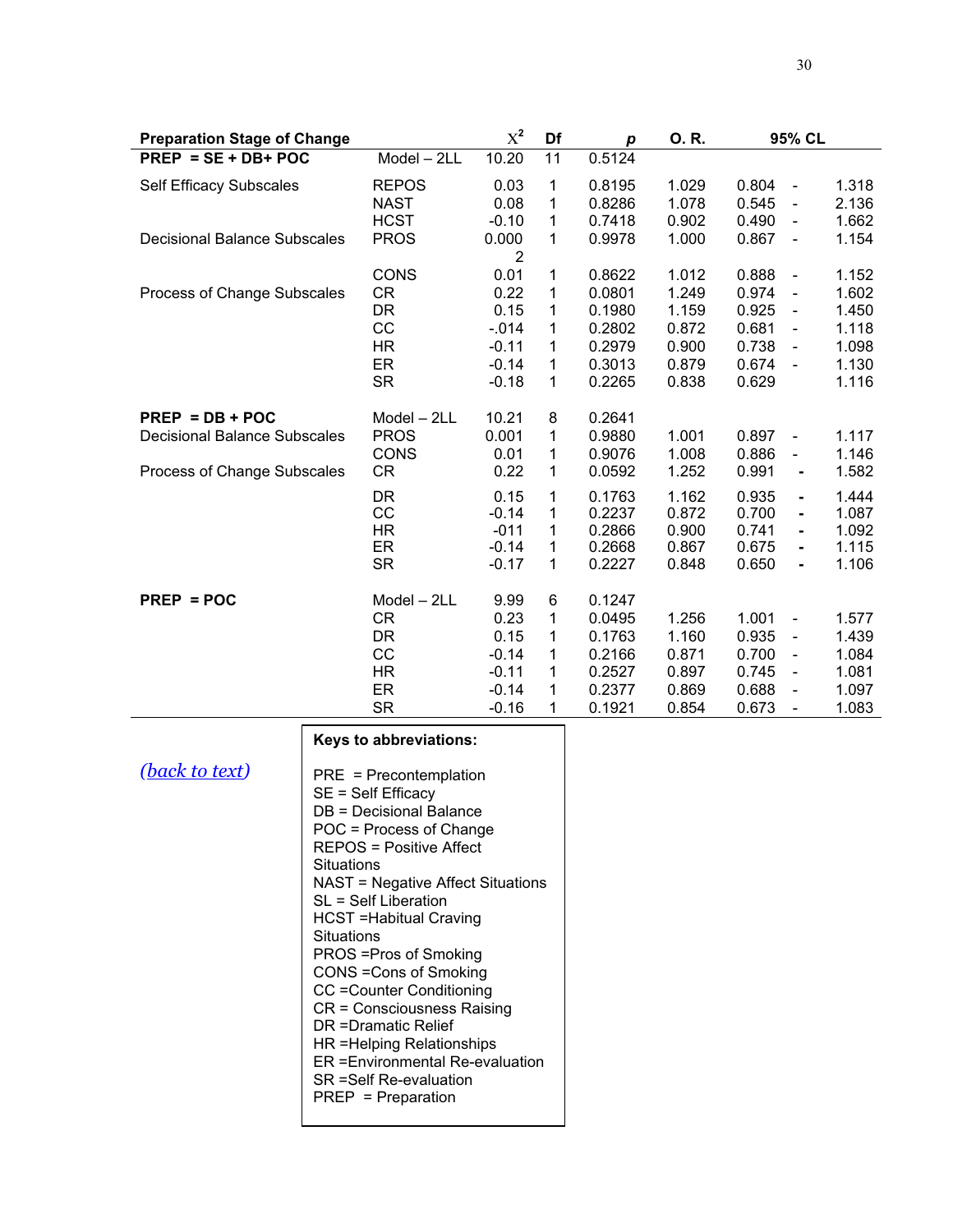| <b>Preparation Stage of Change</b>                                                      |                                                                                                                                                                                                                                                                                                                                                                                                                                                                                                           | $\chi^2$                                                                    | Df                                                                    | $\boldsymbol{p}$                | 0.R.                                                               | 95% CL                                                      |                                                                                                                                                                                        |                                                             |
|-----------------------------------------------------------------------------------------|-----------------------------------------------------------------------------------------------------------------------------------------------------------------------------------------------------------------------------------------------------------------------------------------------------------------------------------------------------------------------------------------------------------------------------------------------------------------------------------------------------------|-----------------------------------------------------------------------------|-----------------------------------------------------------------------|---------------------------------|--------------------------------------------------------------------|-------------------------------------------------------------|----------------------------------------------------------------------------------------------------------------------------------------------------------------------------------------|-------------------------------------------------------------|
| $PREP = SE + DB + POC$                                                                  |                                                                                                                                                                                                                                                                                                                                                                                                                                                                                                           | $Model - 2LL$                                                               | 10.20                                                                 | $\overline{11}$                 | 0.5124                                                             |                                                             |                                                                                                                                                                                        |                                                             |
| <b>Self Efficacy Subscales</b><br><b>Decisional Balance Subscales</b>                   |                                                                                                                                                                                                                                                                                                                                                                                                                                                                                                           | <b>REPOS</b><br><b>NAST</b><br><b>HCST</b><br><b>PROS</b>                   | 0.03<br>0.08<br>$-0.10$<br>0.000                                      | 1<br>1<br>1<br>1                | 0.8195<br>0.8286<br>0.7418<br>0.9978                               | 1.029<br>1.078<br>0.902<br>1.000                            | 0.804<br>$\overline{\phantom{a}}$<br>0.545<br>$\overline{\phantom{a}}$<br>0.490<br>$\qquad \qquad \blacksquare$<br>0.867<br>$\blacksquare$                                             | 1.318<br>2.136<br>1.662<br>1.154                            |
| Process of Change Subscales                                                             |                                                                                                                                                                                                                                                                                                                                                                                                                                                                                                           | <b>CONS</b><br>CR<br><b>DR</b><br>CC<br><b>HR</b><br>ER<br><b>SR</b>        | 2<br>0.01<br>0.22<br>0.15<br>$-0.14$<br>$-0.11$<br>$-0.14$<br>$-0.18$ | 1<br>1<br>1<br>1<br>1<br>1<br>1 | 0.8622<br>0.0801<br>0.1980<br>0.2802<br>0.2979<br>0.3013<br>0.2265 | 1.012<br>1.249<br>1.159<br>0.872<br>0.900<br>0.879<br>0.838 | 0.888<br>$\blacksquare$<br>0.974<br>$\blacksquare$<br>0.925<br>$\overline{\phantom{a}}$<br>0.681<br>$\blacksquare$<br>0.738<br>$\blacksquare$<br>0.674<br>$\blacksquare$<br>0.629      | 1.152<br>1.602<br>1.450<br>1.118<br>1.098<br>1.130<br>1.116 |
| $PREP = DB + POC$<br><b>Decisional Balance Subscales</b><br>Process of Change Subscales |                                                                                                                                                                                                                                                                                                                                                                                                                                                                                                           | Model - 2LL<br><b>PROS</b><br><b>CONS</b><br><b>CR</b>                      | 10.21<br>0.001<br>0.01<br>0.22                                        | 8<br>1<br>1<br>1                | 0.2641<br>0.9880<br>0.9076<br>0.0592                               | 1.001<br>1.008<br>1.252                                     | 0.897<br>$\qquad \qquad \blacksquare$<br>0.886<br>$\overline{\phantom{0}}$<br>0.991<br>٠                                                                                               | 1.117<br>1.146<br>1.582                                     |
|                                                                                         |                                                                                                                                                                                                                                                                                                                                                                                                                                                                                                           | <b>DR</b><br>CC<br><b>HR</b><br>ER<br><b>SR</b>                             | 0.15<br>$-0.14$<br>$-011$<br>$-0.14$<br>$-0.17$                       | 1<br>1<br>1<br>1<br>1           | 0.1763<br>0.2237<br>0.2866<br>0.2668<br>0.2227                     | 1.162<br>0.872<br>0.900<br>0.867<br>0.848                   | 0.935<br>ä,<br>0.700<br>ä,<br>0.741<br>$\blacksquare$<br>0.675<br>0.650<br>$\blacksquare$                                                                                              | 1.444<br>1.087<br>1.092<br>1.115<br>1.106                   |
| $PREP = POC$                                                                            |                                                                                                                                                                                                                                                                                                                                                                                                                                                                                                           | Model - 2LL<br><b>CR</b><br><b>DR</b><br>CC<br><b>HR</b><br>ER<br><b>SR</b> | 9.99<br>0.23<br>0.15<br>$-0.14$<br>$-0.11$<br>$-0.14$<br>$-0.16$      | 6<br>1<br>1<br>1<br>1<br>1<br>1 | 0.1247<br>0.0495<br>0.1763<br>0.2166<br>0.2527<br>0.2377<br>0.1921 | 1.256<br>1.160<br>0.871<br>0.897<br>0.869<br>0.854          | 1.001<br>$\qquad \qquad \blacksquare$<br>0.935<br>$\blacksquare$<br>0.700<br>$\blacksquare$<br>0.745<br>$\blacksquare$<br>0.688<br>$\overline{\phantom{a}}$<br>0.673<br>$\blacksquare$ | 1.577<br>1.439<br>1.084<br>1.081<br>1.097<br>1.083          |
|                                                                                         |                                                                                                                                                                                                                                                                                                                                                                                                                                                                                                           | Keys to abbreviations:                                                      |                                                                       |                                 |                                                                    |                                                             |                                                                                                                                                                                        |                                                             |
| (back to text)                                                                          | PRE = Precontemplation<br>SE = Self Efficacy<br>DB = Decisional Balance<br>POC = Process of Change<br><b>REPOS = Positive Affect</b><br>Situations<br><b>NAST = Negative Affect Situations</b><br>SL = Self Liberation<br><b>HCST</b> = Habitual Craving<br>Situations<br>PROS = Pros of Smoking<br>CONS = Cons of Smoking<br>CC = Counter Conditioning<br>CR = Consciousness Raising<br>DR = Dramatic Relief<br>HR =Helping Relationships<br>ER = Environmental Re-evaluation<br>SR = Self Re-evaluation |                                                                             |                                                                       |                                 |                                                                    |                                                             |                                                                                                                                                                                        |                                                             |

PREP = Preparation